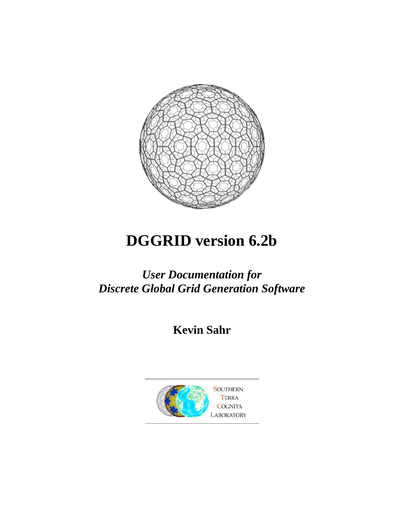

# **DGGRID version 6.2b**

# *User Documentation for Discrete Global Grid Generation Software*

**Kevin Sahr** 

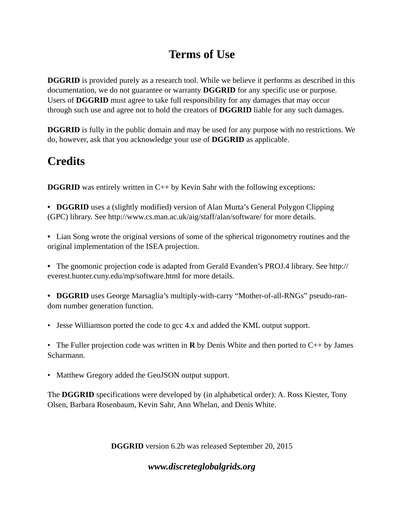# **Terms of Use**

**DGGRID** is provided purely as a research tool. While we believe it performs as described in this documentation, we do not guarantee or warranty **DGGRID** for any specific use or purpose. Users of **DGGRID** must agree to take full responsibility for any damages that may occur through such use and agree not to hold the creators of **DGGRID** liable for any such damages.

**DGGRID** is fully in the public domain and may be used for any purpose with no restrictions. We do, however, ask that you acknowledge your use of **DGGRID** as applicable.

# **Credits**

**DGGRID** was entirely written in C++ by Kevin Sahr with the following exceptions:

**• DGGRID** uses a (slightly modified) version of Alan Murta's General Polygon Clipping (GPC) library. See http://www.cs.man.ac.uk/aig/staff/alan/software/ for more details.

- Lian Song wrote the original versions of some of the spherical trigonometry routines and the original implementation of the ISEA projection.
- The gnomonic projection code is adapted from Gerald Evanden's PROJ.4 library. See http:// everest.hunter.cuny.edu/mp/software.html for more details.

**• DGGRID** uses George Marsaglia's multiply-with-carry "Mother-of-all-RNGs" pseudo-random number generation function.

• Jesse Williamson ported the code to gcc 4.x and added the KML output support.

• The Fuller projection code was written in **R** by Denis White and then ported to C++ by James Scharmann.

• Matthew Gregory added the GeoJSON output support.

The **DGGRID** specifications were developed by (in alphabetical order): A. Ross Kiester, Tony Olsen, Barbara Rosenbaum, Kevin Sahr, Ann Whelan, and Denis White.

**DGGRID** version 6.2b was released September 20, 2015

# *www.discreteglobalgrids.org*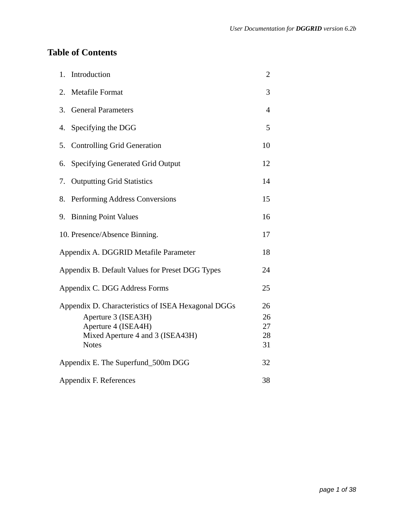# **Table of Contents**

| 1. | Introduction                                                                                                                                         | $\overline{2}$             |
|----|------------------------------------------------------------------------------------------------------------------------------------------------------|----------------------------|
| 2. | Metafile Format                                                                                                                                      | 3                          |
| 3. | <b>General Parameters</b>                                                                                                                            | 4                          |
| 4. | Specifying the DGG                                                                                                                                   | 5                          |
| 5. | <b>Controlling Grid Generation</b>                                                                                                                   | 10                         |
| 6. | Specifying Generated Grid Output                                                                                                                     | 12                         |
| 7. | <b>Outputting Grid Statistics</b>                                                                                                                    | 14                         |
| 8. | Performing Address Conversions                                                                                                                       | 15                         |
| 9. | <b>Binning Point Values</b>                                                                                                                          | 16                         |
|    | 10. Presence/Absence Binning.                                                                                                                        | 17                         |
|    | Appendix A. DGGRID Metafile Parameter                                                                                                                | 18                         |
|    | Appendix B. Default Values for Preset DGG Types                                                                                                      | 24                         |
|    | Appendix C. DGG Address Forms                                                                                                                        | 25                         |
|    | Appendix D. Characteristics of ISEA Hexagonal DGGs<br>Aperture 3 (ISEA3H)<br>Aperture 4 (ISEA4H)<br>Mixed Aperture 4 and 3 (ISEA43H)<br><b>Notes</b> | 26<br>26<br>27<br>28<br>31 |
|    | Appendix E. The Superfund_500m DGG                                                                                                                   | 32                         |
|    | Appendix F. References                                                                                                                               | 38                         |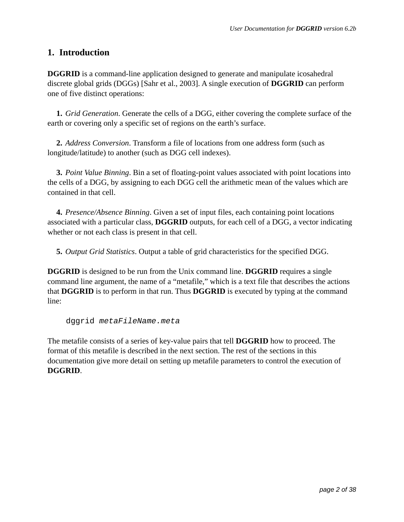### **1. Introduction**

**DGGRID** is a command-line application designed to generate and manipulate icosahedral discrete global grids (DGGs) [Sahr et al., 2003]. A single execution of **DGGRID** can perform one of five distinct operations:

 **1.** *Grid Generation*. Generate the cells of a DGG, either covering the complete surface of the earth or covering only a specific set of regions on the earth's surface.

 **2.** *Address Conversion*. Transform a file of locations from one address form (such as longitude/latitude) to another (such as DGG cell indexes).

 **3.** *Point Value Binning*. Bin a set of floating-point values associated with point locations into the cells of a DGG, by assigning to each DGG cell the arithmetic mean of the values which are contained in that cell.

 **4.** *Presence/Absence Binning*. Given a set of input files, each containing point locations associated with a particular class, **DGGRID** outputs, for each cell of a DGG, a vector indicating whether or not each class is present in that cell.

**5.** *Output Grid Statistics*. Output a table of grid characteristics for the specified DGG.

**DGGRID** is designed to be run from the Unix command line. **DGGRID** requires a single command line argument, the name of a "metafile," which is a text file that describes the actions that **DGGRID** is to perform in that run. Thus **DGGRID** is executed by typing at the command line:

dggrid metaFileName.meta

The metafile consists of a series of key-value pairs that tell **DGGRID** how to proceed. The format of this metafile is described in the next section. The rest of the sections in this documentation give more detail on setting up metafile parameters to control the execution of **DGGRID**.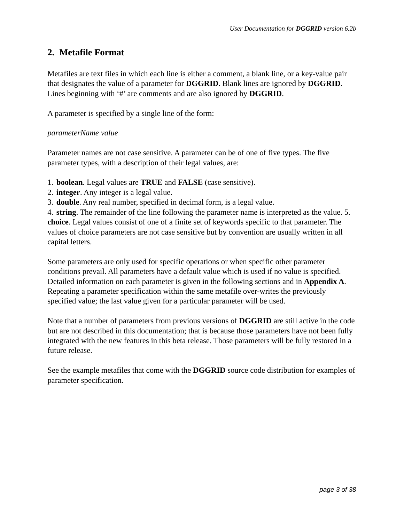### **2. Metafile Format**

Metafiles are text files in which each line is either a comment, a blank line, or a key-value pair that designates the value of a parameter for **DGGRID**. Blank lines are ignored by **DGGRID**. Lines beginning with '#' are comments and are also ignored by **DGGRID**.

A parameter is specified by a single line of the form:

#### *parameterName value*

Parameter names are not case sensitive. A parameter can be of one of five types. The five parameter types, with a description of their legal values, are:

- 1. **boolean**. Legal values are **TRUE** and **FALSE** (case sensitive).
- 2. **integer**. Any integer is a legal value.
- 3. **double**. Any real number, specified in decimal form, is a legal value.

4. **string**. The remainder of the line following the parameter name is interpreted as the value. 5. **choice**. Legal values consist of one of a finite set of keywords specific to that parameter. The values of choice parameters are not case sensitive but by convention are usually written in all capital letters.

Some parameters are only used for specific operations or when specific other parameter conditions prevail. All parameters have a default value which is used if no value is specified. Detailed information on each parameter is given in the following sections and in **Appendix A**. Repeating a parameter specification within the same metafile over-writes the previously specified value; the last value given for a particular parameter will be used.

Note that a number of parameters from previous versions of **DGGRID** are still active in the code but are not described in this documentation; that is because those parameters have not been fully integrated with the new features in this beta release. Those parameters will be fully restored in a future release.

See the example metafiles that come with the **DGGRID** source code distribution for examples of parameter specification.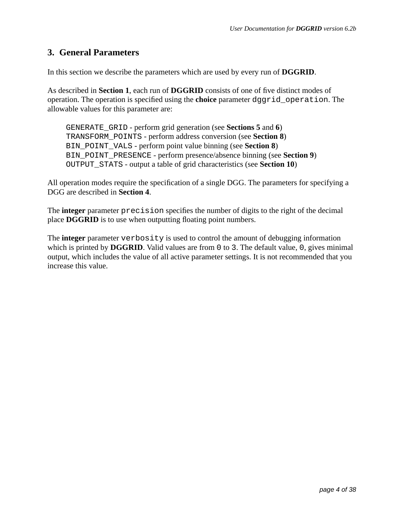### **3. General Parameters**

In this section we describe the parameters which are used by every run of **DGGRID**.

As described in **Section 1**, each run of **DGGRID** consists of one of five distinct modes of operation. The operation is specified using the **choice** parameter dggrid\_operation. The allowable values for this parameter are:

 GENERATE\_GRID - perform grid generation (see **Sections 5** and **6**) TRANSFORM\_POINTS - perform address conversion (see **Section 8**) BIN\_POINT\_VALS - perform point value binning (see **Section 8**) BIN\_POINT\_PRESENCE - perform presence/absence binning (see **Section 9**) OUTPUT\_STATS - output a table of grid characteristics (see **Section 10**)

All operation modes require the specification of a single DGG. The parameters for specifying a DGG are described in **Section 4**.

The **integer** parameter precision specifies the number of digits to the right of the decimal place **DGGRID** is to use when outputting floating point numbers.

The **integer** parameter verbosity is used to control the amount of debugging information which is printed by **DGGRID**. Valid values are from 0 to 3. The default value, 0, gives minimal output, which includes the value of all active parameter settings. It is not recommended that you increase this value.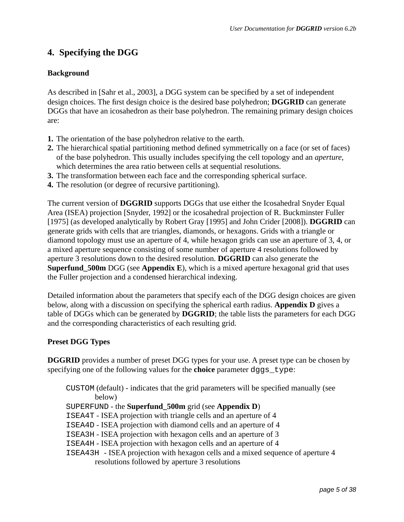# **4. Specifying the DGG**

### **Background**

As described in [Sahr et al., 2003], a DGG system can be specified by a set of independent design choices. The first design choice is the desired base polyhedron; **DGGRID** can generate DGGs that have an icosahedron as their base polyhedron. The remaining primary design choices are:

- **1.** The orientation of the base polyhedron relative to the earth.
- **2.** The hierarchical spatial partitioning method defined symmetrically on a face (or set of faces) of the base polyhedron. This usually includes specifying the cell topology and an *aperture*, which determines the area ratio between cells at sequential resolutions.
- **3.** The transformation between each face and the corresponding spherical surface.
- **4.** The resolution (or degree of recursive partitioning).

The current version of **DGGRID** supports DGGs that use either the Icosahedral Snyder Equal Area (ISEA) projection [Snyder, 1992] or the icosahedral projection of R. Buckminster Fuller [1975] (as developed analytically by Robert Gray [1995] and John Crider [2008]). **DGGRID** can generate grids with cells that are triangles, diamonds, or hexagons. Grids with a triangle or diamond topology must use an aperture of 4, while hexagon grids can use an aperture of 3, 4, or a mixed aperture sequence consisting of some number of aperture 4 resolutions followed by aperture 3 resolutions down to the desired resolution. **DGGRID** can also generate the **Superfund\_500m** DGG (see **Appendix E**), which is a mixed aperture hexagonal grid that uses the Fuller projection and a condensed hierarchical indexing.

Detailed information about the parameters that specify each of the DGG design choices are given below, along with a discussion on specifying the spherical earth radius. **Appendix D** gives a table of DGGs which can be generated by **DGGRID**; the table lists the parameters for each DGG and the corresponding characteristics of each resulting grid.

### **Preset DGG Types**

**DGGRID** provides a number of preset DGG types for your use. A preset type can be chosen by specifying one of the following values for the **choice** parameter dggs\_type:

 CUSTOM (default) - indicates that the grid parameters will be specified manually (see below)

SUPERFUND - the **Superfund\_500m** grid (see **Appendix D**)

ISEA4T - ISEA projection with triangle cells and an aperture of 4

ISEA4D - ISEA projection with diamond cells and an aperture of 4

ISEA3H - ISEA projection with hexagon cells and an aperture of 3

ISEA4H - ISEA projection with hexagon cells and an aperture of 4

 ISEA43H - ISEA projection with hexagon cells and a mixed sequence of aperture 4 resolutions followed by aperture 3 resolutions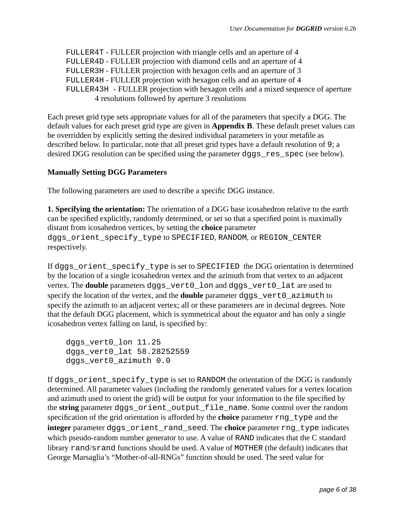FULLER4T - FULLER projection with triangle cells and an aperture of 4 FULLER4D - FULLER projection with diamond cells and an aperture of 4 FULLER3H - FULLER projection with hexagon cells and an aperture of 3 FULLER4H - FULLER projection with hexagon cells and an aperture of 4 FULLER43H - FULLER projection with hexagon cells and a mixed sequence of aperture 4 resolutions followed by aperture 3 resolutions

Each preset grid type sets appropriate values for all of the parameters that specify a DGG. The default values for each preset grid type are given in **Appendix B**. These default preset values can be overridden by explicitly setting the desired individual parameters in your metafile as described below. In particular, note that all preset grid types have a default resolution of 9; a desired DGG resolution can be specified using the parameter dggs\_res\_spec (see below).

#### **Manually Setting DGG Parameters**

The following parameters are used to describe a specific DGG instance.

**1. Specifying the orientation:** The orientation of a DGG base icosahedron relative to the earth can be specified explicitly, randomly determined, or set so that a specified point is maximally distant from icosahedron vertices, by setting the **choice** parameter dggs\_orient\_specify\_type to SPECIFIED, RANDOM, or REGION\_CENTER respectively.

If dggs\_orient\_specify\_type is set to SPECIFIED the DGG orientation is determined by the location of a single icosahedron vertex and the azimuth from that vertex to an adjacent vertex. The **double** parameters dggs\_vert0\_lon and dggs\_vert0\_lat are used to specify the location of the vertex, and the **double** parameter dggs\_vert0\_azimuth to specify the azimuth to an adjacent vertex; all or these parameters are in decimal degrees. Note that the default DGG placement, which is symmetrical about the equator and has only a single icosahedron vertex falling on land, is specified by:

dggs vert0 lon 11.25 dggs\_vert0\_lat 58.28252559 dggs\_vert0\_azimuth 0.0

If dggs\_orient\_specify\_type is set to RANDOM the orientation of the DGG is randomly determined. All parameter values (including the randomly generated values for a vertex location and azimuth used to orient the grid) will be output for your information to the file specified by the **string** parameter dggs\_orient\_output\_file\_name. Some control over the random specification of the grid orientation is afforded by the **choice** parameter rng\_type and the **integer** parameter dggs\_orient\_rand\_seed. The **choice** parameter rng\_type indicates which pseudo-random number generator to use. A value of RAND indicates that the C standard library rand/srand functions should be used. A value of MOTHER (the default) indicates that George Marsaglia's "Mother-of-all-RNGs" function should be used. The seed value for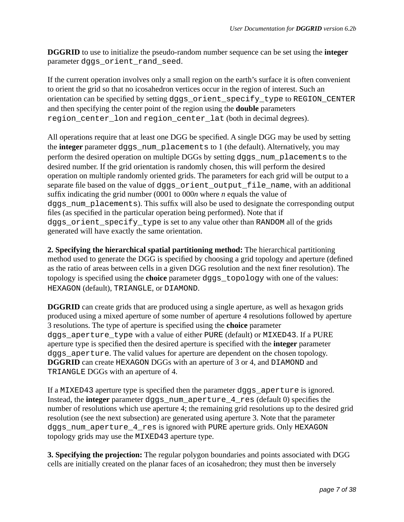**DGGRID** to use to initialize the pseudo-random number sequence can be set using the **integer** parameter dggs\_orient\_rand\_seed.

If the current operation involves only a small region on the earth's surface it is often convenient to orient the grid so that no icosahedron vertices occur in the region of interest. Such an orientation can be specified by setting dggs\_orient\_specify\_type to REGION\_CENTER and then specifying the center point of the region using the **double** parameters region center lon and region center lat (both in decimal degrees).

All operations require that at least one DGG be specified. A single DGG may be used by setting the **integer** parameter dggs\_num\_placements to 1 (the default). Alternatively, you may perform the desired operation on multiple DGGs by setting dggs\_num\_placements to the desired number. If the grid orientation is randomly chosen, this will perform the desired operation on multiple randomly oriented grids. The parameters for each grid will be output to a separate file based on the value of dggs\_orient\_output\_file\_name, with an additional suffix indicating the grid number (0001 to 000*n* where *n* equals the value of dggs\_num\_placements). This suffix will also be used to designate the corresponding output files (as specified in the particular operation being performed). Note that if dggs\_orient\_specify\_type is set to any value other than RANDOM all of the grids generated will have exactly the same orientation.

**2. Specifying the hierarchical spatial partitioning method:** The hierarchical partitioning method used to generate the DGG is specified by choosing a grid topology and aperture (defined as the ratio of areas between cells in a given DGG resolution and the next finer resolution). The topology is specified using the **choice** parameter dggs\_topology with one of the values: HEXAGON (default), TRIANGLE, or DIAMOND.

**DGGRID** can create grids that are produced using a single aperture, as well as hexagon grids produced using a mixed aperture of some number of aperture 4 resolutions followed by aperture 3 resolutions. The type of aperture is specified using the **choice** parameter dggs\_aperture\_type with a value of either PURE (default) or MIXED43. If a PURE aperture type is specified then the desired aperture is specified with the **integer** parameter dggs\_aperture. The valid values for aperture are dependent on the chosen topology. **DGGRID** can create HEXAGON DGGs with an aperture of 3 or 4, and DIAMOND and TRIANGLE DGGs with an aperture of 4.

If a MIXED43 aperture type is specified then the parameter dggs\_aperture is ignored. Instead, the **integer** parameter dggs\_num\_aperture\_4\_res (default 0) specifies the number of resolutions which use aperture 4; the remaining grid resolutions up to the desired grid resolution (see the next subsection) are generated using aperture 3. Note that the parameter dggs\_num\_aperture\_4\_res is ignored with PURE aperture grids. Only HEXAGON topology grids may use the MIXED43 aperture type.

**3. Specifying the projection:** The regular polygon boundaries and points associated with DGG cells are initially created on the planar faces of an icosahedron; they must then be inversely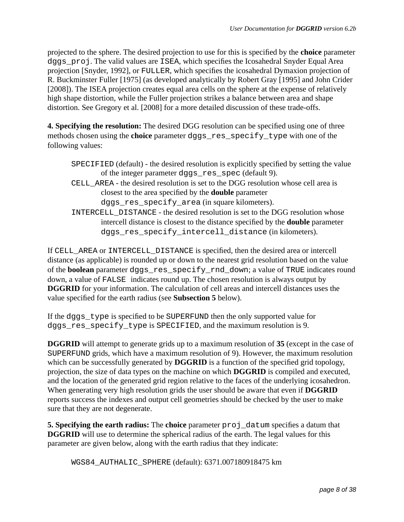projected to the sphere. The desired projection to use for this is specified by the **choice** parameter dggs\_proj. The valid values are ISEA, which specifies the Icosahedral Snyder Equal Area projection [Snyder, 1992], or FULLER, which specifies the icosahedral Dymaxion projection of R. Buckminster Fuller [1975] (as developed analytically by Robert Gray [1995] and John Crider [2008]). The ISEA projection creates equal area cells on the sphere at the expense of relatively high shape distortion, while the Fuller projection strikes a balance between area and shape distortion. See Gregory et al. [2008] for a more detailed discussion of these trade-offs.

**4. Specifying the resolution:** The desired DGG resolution can be specified using one of three methods chosen using the **choice** parameter dggs\_res\_specify\_type with one of the following values:

| SPECIFIED (default) - the desired resolution is explicitly specified by setting the value |
|-------------------------------------------------------------------------------------------|
| of the integer parameter dggs_res_spec (default 9).                                       |
| CELL AREA - the desired resolution is set to the DGG resolution whose cell area is        |
| closest to the area specified by the <b>double</b> parameter                              |
| dggs_res_specify_area (in square kilometers).                                             |
| INTERCELL_DISTANCE - the desired resolution is set to the DGG resolution whose            |
| intercell distance is closest to the distance specified by the <b>double</b> parameter    |
| dggs_res_specify_intercell_distance(in kilometers).                                       |

If CELL\_AREA or INTERCELL\_DISTANCE is specified, then the desired area or intercell distance (as applicable) is rounded up or down to the nearest grid resolution based on the value of the **boolean** parameter dggs\_res\_specify\_rnd\_down; a value of TRUE indicates round down, a value of FALSE indicates round up. The chosen resolution is always output by **DGGRID** for your information. The calculation of cell areas and intercell distances uses the value specified for the earth radius (see **Subsection 5** below).

If the dggs\_type is specified to be SUPERFUND then the only supported value for dggs\_res\_specify\_type is SPECIFIED, and the maximum resolution is 9.

**DGGRID** will attempt to generate grids up to a maximum resolution of **35** (except in the case of SUPERFUND grids, which have a maximum resolution of 9). However, the maximum resolution which can be successfully generated by **DGGRID** is a function of the specified grid topology, projection, the size of data types on the machine on which **DGGRID** is compiled and executed, and the location of the generated grid region relative to the faces of the underlying icosahedron. When generating very high resolution grids the user should be aware that even if **DGGRID** reports success the indexes and output cell geometries should be checked by the user to make sure that they are not degenerate.

**5. Specifying the earth radius:** The **choice** parameter  $proj\_datum$  specifies a datum that **DGGRID** will use to determine the spherical radius of the earth. The legal values for this parameter are given below, along with the earth radius that they indicate:

WGS84\_AUTHALIC\_SPHERE (default): 6371.007180918475 km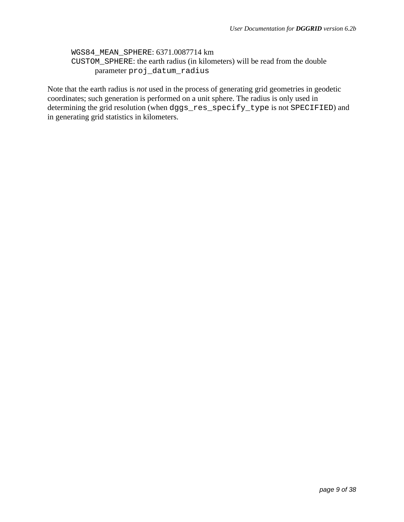```
WGS84_MEAN_SPHERE: 6371.0087714 km
CUSTOM_SPHERE: the earth radius (in kilometers) will be read from the double 
      parameter proj_datum_radius
```
Note that the earth radius is *not* used in the process of generating grid geometries in geodetic coordinates; such generation is performed on a unit sphere. The radius is only used in determining the grid resolution (when dggs\_res\_specify\_type is not SPECIFIED) and in generating grid statistics in kilometers.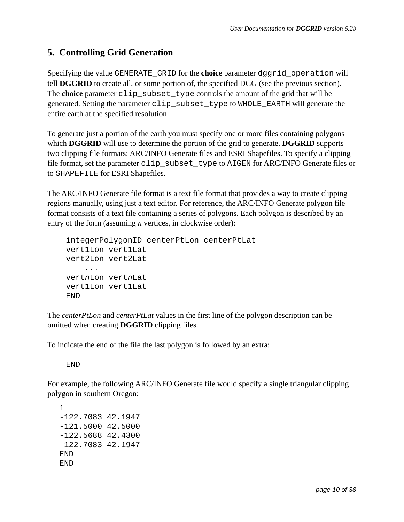# **5. Controlling Grid Generation**

Specifying the value GENERATE\_GRID for the **choice** parameter dggrid\_operation will tell **DGGRID** to create all, or some portion of, the specified DGG (see the previous section). The **choice** parameter clip\_subset\_type controls the amount of the grid that will be generated. Setting the parameter clip\_subset\_type to WHOLE\_EARTH will generate the entire earth at the specified resolution.

To generate just a portion of the earth you must specify one or more files containing polygons which **DGGRID** will use to determine the portion of the grid to generate. **DGGRID** supports two clipping file formats: ARC/INFO Generate files and ESRI Shapefiles. To specify a clipping file format, set the parameter clip\_subset\_type to AIGEN for ARC/INFO Generate files or to SHAPEFILE for ESRI Shapefiles.

The ARC/INFO Generate file format is a text file format that provides a way to create clipping regions manually, using just a text editor. For reference, the ARC/INFO Generate polygon file format consists of a text file containing a series of polygons. Each polygon is described by an entry of the form (assuming *n* vertices, in clockwise order):

```
 integerPolygonID centerPtLon centerPtLat
 vert1Lon vert1Lat
 vert2Lon vert2Lat
     ... 
 vertnLon vertnLat 
 vert1Lon vert1Lat
 END
```
The *centerPtLon* and *centerPtLat* values in the first line of the polygon description can be omitted when creating **DGGRID** clipping files.

To indicate the end of the file the last polygon is followed by an extra:

END

For example, the following ARC/INFO Generate file would specify a single triangular clipping polygon in southern Oregon:

1 -122.7083 42.1947 -121.5000 42.5000 -122.5688 42.4300 -122.7083 42.1947 END END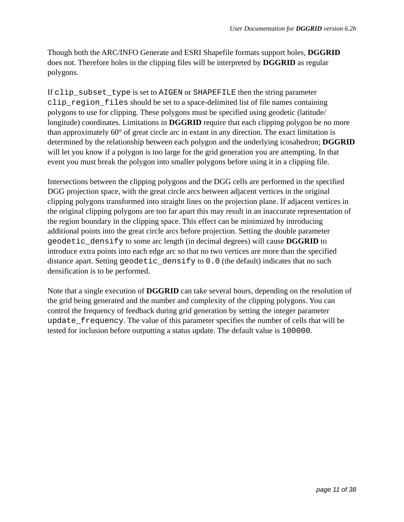Though both the ARC/INFO Generate and ESRI Shapefile formats support holes, **DGGRID** does not. Therefore holes in the clipping files will be interpreted by **DGGRID** as regular polygons.

If clip\_subset\_type is set to AIGEN or SHAPEFILE then the string parameter clip\_region\_files should be set to a space-delimited list of file names containing polygons to use for clipping. These polygons must be specified using geodetic (latitude/ longitude) coordinates. Limitations in **DGGRID** require that each clipping polygon be no more than approximately 60° of great circle arc in extant in any direction. The exact limitation is determined by the relationship between each polygon and the underlying icosahedron; **DGGRID** will let you know if a polygon is too large for the grid generation you are attempting. In that event you must break the polygon into smaller polygons before using it in a clipping file.

Intersections between the clipping polygons and the DGG cells are performed in the specified DGG projection space, with the great circle arcs between adjacent vertices in the original clipping polygons transformed into straight lines on the projection plane. If adjacent vertices in the original clipping polygons are too far apart this may result in an inaccurate representation of the region boundary in the clipping space. This effect can be minimized by introducing additional points into the great circle arcs before projection. Setting the double parameter geodetic\_densify to some arc length (in decimal degrees) will cause **DGGRID** to introduce extra points into each edge arc so that no two vertices are more than the specified distance apart. Setting geodetic\_densify to 0.0 (the default) indicates that no such densification is to be performed.

Note that a single execution of **DGGRID** can take several hours, depending on the resolution of the grid being generated and the number and complexity of the clipping polygons. You can control the frequency of feedback during grid generation by setting the integer parameter update\_frequency. The value of this parameter specifies the number of cells that will be tested for inclusion before outputting a status update. The default value is 100000.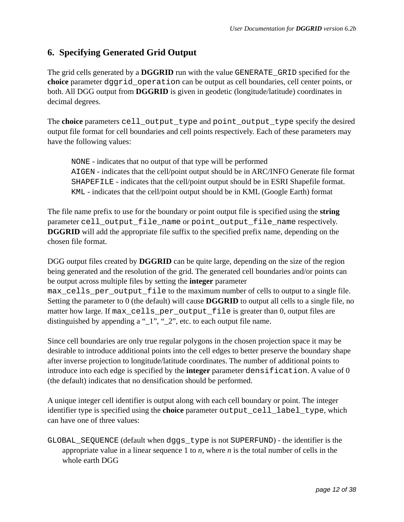# **6. Specifying Generated Grid Output**

The grid cells generated by a **DGGRID** run with the value GENERATE\_GRID specified for the **choice** parameter dggrid\_operation can be output as cell boundaries, cell center points, or both. All DGG output from **DGGRID** is given in geodetic (longitude/latitude) coordinates in decimal degrees.

The **choice** parameters cell\_output\_type and point\_output\_type specify the desired output file format for cell boundaries and cell points respectively. Each of these parameters may have the following values:

NONE - indicates that no output of that type will be performed AIGEN - indicates that the cell/point output should be in ARC/INFO Generate file format SHAPEFILE - indicates that the cell/point output should be in ESRI Shapefile format. KML - indicates that the cell/point output should be in KML (Google Earth) format

The file name prefix to use for the boundary or point output file is specified using the **string** parameter cell\_output\_file\_name or point\_output\_file\_name respectively. **DGGRID** will add the appropriate file suffix to the specified prefix name, depending on the chosen file format.

DGG output files created by **DGGRID** can be quite large, depending on the size of the region being generated and the resolution of the grid. The generated cell boundaries and/or points can be output across multiple files by setting the **integer** parameter max\_cells\_per\_output\_file to the maximum number of cells to output to a single file. Setting the parameter to 0 (the default) will cause **DGGRID** to output all cells to a single file, no matter how large. If max\_cells\_per\_output\_file is greater than 0, output files are distinguished by appending a "\_1", "\_2", etc. to each output file name.

Since cell boundaries are only true regular polygons in the chosen projection space it may be desirable to introduce additional points into the cell edges to better preserve the boundary shape after inverse projection to longitude/latitude coordinates. The number of additional points to introduce into each edge is specified by the **integer** parameter densification. A value of 0 (the default) indicates that no densification should be performed.

A unique integer cell identifier is output along with each cell boundary or point. The integer identifier type is specified using the **choice** parameter output\_cell\_label\_type, which can have one of three values:

GLOBAL\_SEQUENCE (default when dggs\_type is not SUPERFUND) - the identifier is the appropriate value in a linear sequence 1 to *n*, where *n* is the total number of cells in the whole earth DGG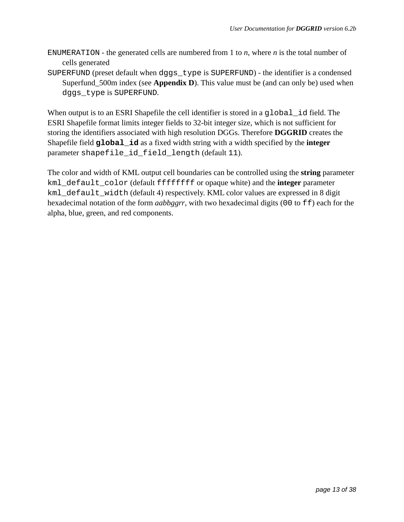- ENUMERATION the generated cells are numbered from 1 to *n*, where *n* is the total number of cells generated
- SUPERFUND (preset default when dggs\_type is SUPERFUND) the identifier is a condensed Superfund\_500m index (see **Appendix D**). This value must be (and can only be) used when dggs\_type is SUPERFUND.

When output is to an ESRI Shapefile the cell identifier is stored in a global id field. The ESRI Shapefile format limits integer fields to 32-bit integer size, which is not sufficient for storing the identifiers associated with high resolution DGGs. Therefore **DGGRID** creates the Shapefile field **global\_id** as a fixed width string with a width specified by the **integer** parameter shapefile\_id\_field\_length (default 11).

The color and width of KML output cell boundaries can be controlled using the **string** parameter kml\_default\_color (default ffffffff or opaque white) and the **integer** parameter kml\_default\_width (default 4) respectively. KML color values are expressed in 8 digit hexadecimal notation of the form *aabbggrr*, with two hexadecimal digits (00 to ff) each for the alpha, blue, green, and red components.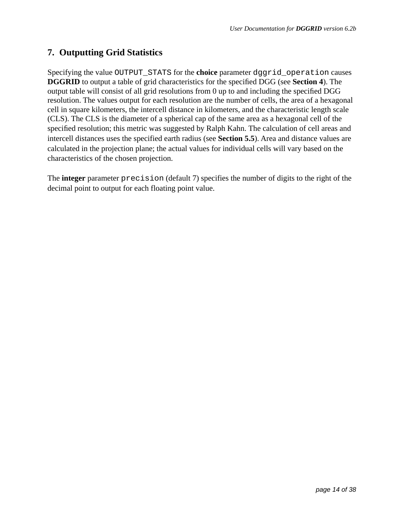# **7. Outputting Grid Statistics**

Specifying the value OUTPUT\_STATS for the **choice** parameter dggrid\_operation causes **DGGRID** to output a table of grid characteristics for the specified DGG (see **Section 4**). The output table will consist of all grid resolutions from 0 up to and including the specified DGG resolution. The values output for each resolution are the number of cells, the area of a hexagonal cell in square kilometers, the intercell distance in kilometers, and the characteristic length scale (CLS). The CLS is the diameter of a spherical cap of the same area as a hexagonal cell of the specified resolution; this metric was suggested by Ralph Kahn. The calculation of cell areas and intercell distances uses the specified earth radius (see **Section 5.5**). Area and distance values are calculated in the projection plane; the actual values for individual cells will vary based on the characteristics of the chosen projection.

The **integer** parameter precision (default 7) specifies the number of digits to the right of the decimal point to output for each floating point value.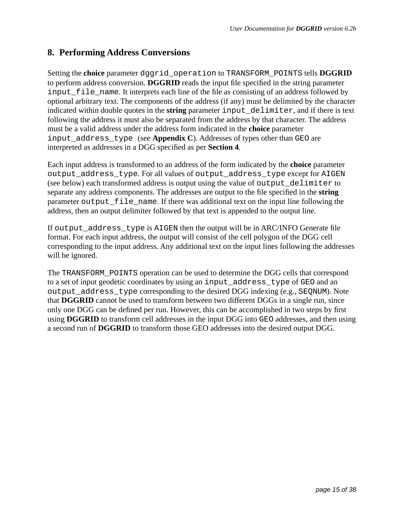### **8. Performing Address Conversions**

Setting the **choice** parameter dggrid\_operation to TRANSFORM\_POINTS tells **DGGRID**  to perform address conversion. **DGGRID** reads the input file specified in the string parameter input file name. It interprets each line of the file as consisting of an address followed by optional arbitrary text. The components of the address (if any) must be delimited by the character indicated within double quotes in the **string** parameter input\_delimiter, and if there is text following the address it must also be separated from the address by that character. The address must be a valid address under the address form indicated in the **choice** parameter input\_address\_type (see **Appendix C**). Addresses of types other than GEO are interpreted as addresses in a DGG specified as per **Section 4**.

Each input address is transformed to an address of the form indicated by the **choice** parameter output\_address\_type. For all values of output\_address\_type except for AIGEN (see below) each transformed address is output using the value of output\_delimiter to separate any address components. The addresses are output to the file specified in the **string** parameter output\_file\_name. If there was additional text on the input line following the address, then an output delimiter followed by that text is appended to the output line.

If output\_address\_type is AIGEN then the output will be in ARC/INFO Generate file format. For each input address, the output will consist of the cell polygon of the DGG cell corresponding to the input address. Any additional text on the input lines following the addresses will be ignored.

The TRANSFORM\_POINTS operation can be used to determine the DGG cells that correspond to a set of input geodetic coordinates by using an input\_address\_type of GEO and an output\_address\_type corresponding to the desired DGG indexing (e.g., SEQNUM). Note that **DGGRID** cannot be used to transform between two different DGGs in a single run, since only one DGG can be defined per run. However, this can be accomplished in two steps by first using **DGGRID** to transform cell addresses in the input DGG into GEO addresses, and then using a second run of **DGGRID** to transform those GEO addresses into the desired output DGG.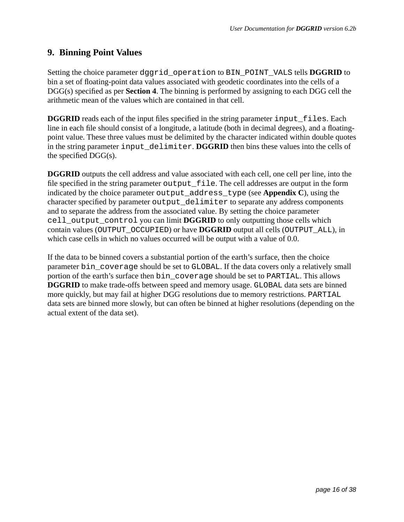### **9. Binning Point Values**

Setting the choice parameter dggrid\_operation to BIN\_POINT\_VALS tells **DGGRID** to bin a set of floating-point data values associated with geodetic coordinates into the cells of a DGG(s) specified as per **Section 4**. The binning is performed by assigning to each DGG cell the arithmetic mean of the values which are contained in that cell.

**DGGRID** reads each of the input files specified in the string parameter input files. Each line in each file should consist of a longitude, a latitude (both in decimal degrees), and a floatingpoint value. These three values must be delimited by the character indicated within double quotes in the string parameter input\_delimiter. **DGGRID** then bins these values into the cells of the specified DGG(s).

**DGGRID** outputs the cell address and value associated with each cell, one cell per line, into the file specified in the string parameter output\_file. The cell addresses are output in the form indicated by the choice parameter output\_address\_type (see **Appendix C**), using the character specified by parameter output\_delimiter to separate any address components and to separate the address from the associated value. By setting the choice parameter cell\_output\_control you can limit **DGGRID** to only outputting those cells which contain values (OUTPUT\_OCCUPIED) or have **DGGRID** output all cells (OUTPUT\_ALL), in which case cells in which no values occurred will be output with a value of 0.0.

If the data to be binned covers a substantial portion of the earth's surface, then the choice parameter bin\_coverage should be set to GLOBAL. If the data covers only a relatively small portion of the earth's surface then bin\_coverage should be set to PARTIAL. This allows **DGGRID** to make trade-offs between speed and memory usage. GLOBAL data sets are binned more quickly, but may fail at higher DGG resolutions due to memory restrictions. PARTIAL data sets are binned more slowly, but can often be binned at higher resolutions (depending on the actual extent of the data set).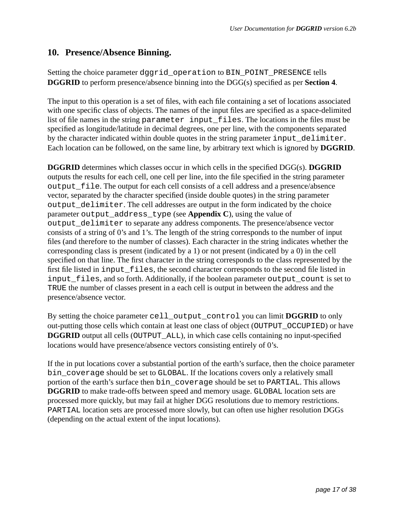### **10. Presence/Absence Binning.**

Setting the choice parameter dggrid\_operation to BIN\_POINT\_PRESENCE tells **DGGRID** to perform presence/absence binning into the DGG(s) specified as per **Section 4**.

The input to this operation is a set of files, with each file containing a set of locations associated with one specific class of objects. The names of the input files are specified as a space-delimited list of file names in the string parameter input\_files. The locations in the files must be specified as longitude/latitude in decimal degrees, one per line, with the components separated by the character indicated within double quotes in the string parameter input\_delimiter. Each location can be followed, on the same line, by arbitrary text which is ignored by **DGGRID**.

**DGGRID** determines which classes occur in which cells in the specified DGG(s). **DGGRID** outputs the results for each cell, one cell per line, into the file specified in the string parameter output\_file. The output for each cell consists of a cell address and a presence/absence vector, separated by the character specified (inside double quotes) in the string parameter output\_delimiter. The cell addresses are output in the form indicated by the choice parameter output\_address\_type (see **Appendix C**), using the value of output\_delimiter to separate any address components. The presence/absence vector consists of a string of 0's and 1's. The length of the string corresponds to the number of input files (and therefore to the number of classes). Each character in the string indicates whether the corresponding class is present (indicated by a 1) or not present (indicated by a 0) in the cell specified on that line. The first character in the string corresponds to the class represented by the first file listed in input files, the second character corresponds to the second file listed in input\_files, and so forth. Additionally, if the boolean parameter output\_count is set to TRUE the number of classes present in a each cell is output in between the address and the presence/absence vector.

By setting the choice parameter cell\_output\_control you can limit **DGGRID** to only out-putting those cells which contain at least one class of object (OUTPUT\_OCCUPIED) or have **DGGRID** output all cells (OUTPUT ALL), in which case cells containing no input-specified locations would have presence/absence vectors consisting entirely of 0's.

If the in put locations cover a substantial portion of the earth's surface, then the choice parameter bin\_coverage should be set to GLOBAL. If the locations covers only a relatively small portion of the earth's surface then bin\_coverage should be set to PARTIAL. This allows **DGGRID** to make trade-offs between speed and memory usage. GLOBAL location sets are processed more quickly, but may fail at higher DGG resolutions due to memory restrictions. PARTIAL location sets are processed more slowly, but can often use higher resolution DGGs (depending on the actual extent of the input locations).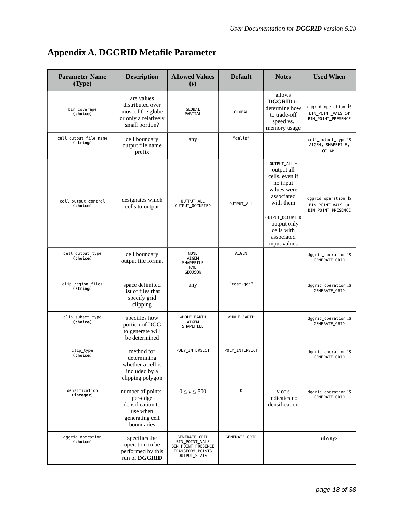| <b>Parameter Name</b><br>(Type)           | <b>Description</b>                                                                             | <b>Allowed Values</b><br>$(\nu)$                                                          | <b>Default</b> | <b>Notes</b>                                                                                                                                                                       | <b>Used When</b>                                                      |
|-------------------------------------------|------------------------------------------------------------------------------------------------|-------------------------------------------------------------------------------------------|----------------|------------------------------------------------------------------------------------------------------------------------------------------------------------------------------------|-----------------------------------------------------------------------|
| bin_coverage<br>(choice)                  | are values<br>distributed over<br>most of the globe<br>or only a relatively<br>small portion?  | GLOBAL<br>PARTIAL                                                                         | GLOBAL         | allows<br><b>DGGRID</b> to<br>determine how<br>to trade-off<br>speed vs.<br>memory usage                                                                                           | dggrid_operation iS<br>BIN_POINT_VALS_OT<br>BIN_POINT_PRESENCE        |
| cell_output_file_name<br>(string)         | cell boundary<br>output file name<br>prefix                                                    | any                                                                                       | "cells"        |                                                                                                                                                                                    | cell_output_type is<br>AIGEN, SHAPEFILE,<br>OT KML                    |
| cell_output_control<br>(choice)           | designates which<br>cells to output                                                            | OUTPUT_ALL<br>OUTPUT_OCCUPIED                                                             | OUTPUT_ALL     | OUTPUT_ALL -<br>output all<br>cells, even if<br>no input<br>values were<br>associated<br>with them<br>OUTPUT_OCCUPIED<br>- output only<br>cells with<br>associated<br>input values | dggrid_operation is<br>BIN POINT VALS OF<br><b>BIN POINT PRESENCE</b> |
| cell_output_type<br>(choice)              | cell boundary<br>output file format                                                            | <b>NONE</b><br>AIGEN<br>SHAPEFILE<br>KML<br><b>GEOJSON</b>                                | AIGEN          |                                                                                                                                                                                    | dggrid_operation is<br>GENERATE_GRID                                  |
| clip_region_files<br>(string)             | space delimited<br>list of files that<br>specify grid<br>clipping                              | any                                                                                       | "test.gen"     |                                                                                                                                                                                    | dggrid_operation is<br>GENERATE_GRID                                  |
| clip_subset_type<br>$\overline{(choice)}$ | specifies how<br>portion of DGG<br>to generate will<br>be determined                           | WHOLE_EARTH<br>AIGEN<br>SHAPEFILE                                                         | WHOLE_EARTH    |                                                                                                                                                                                    | dggrid_operation is<br>GENERATE_GRID                                  |
| clip_type<br>(choice)                     | method for<br>determining<br>whether a cell is<br>included by a<br>clipping polygon            | POLY_INTERSECT                                                                            | POLY_INTERSECT |                                                                                                                                                                                    | dggrid_operation iS<br>GENERATE_GRID                                  |
| densification<br>(integer)                | number of points-<br>per-edge<br>densification to<br>use when<br>generating cell<br>boundaries | $0 \leq v \leq 500$                                                                       | 0              | $v$ of $\theta$<br>indicates no<br>densification                                                                                                                                   | dggrid_operation iS<br>GENERATE_GRID                                  |
| dggrid_operation<br>(choice)              | specifies the<br>operation to be<br>performed by this<br>run of DGGRID                         | GENERATE_GRID<br>BIN_POINT_VALS<br>BIN_POINT_PRESENCE<br>TRANSFORM_POINTS<br>OUTPUT_STATS | GENERATE_GRID  |                                                                                                                                                                                    | always                                                                |

# **Appendix A. DGGRID Metafile Parameter**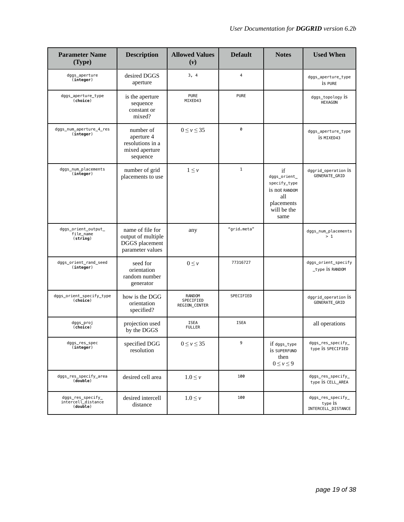| <b>Parameter Name</b><br>(Type)                     | <b>Description</b>                                                           | <b>Allowed Values</b><br>$(\nu)$     | <b>Default</b> | <b>Notes</b>                                                                                    | <b>Used When</b>                                   |
|-----------------------------------------------------|------------------------------------------------------------------------------|--------------------------------------|----------------|-------------------------------------------------------------------------------------------------|----------------------------------------------------|
| dggs_aperture<br>(integer)                          | desired DGGS<br>aperture                                                     | 3, 4                                 | $\overline{4}$ |                                                                                                 | dggs_aperture_type<br>is PURE                      |
| dggs_aperture_type<br>(choice)                      | is the aperture<br>sequence<br>constant or<br>mixed?                         | <b>PURE</b><br>MIXED43               | <b>PURE</b>    |                                                                                                 | dggs_topology is<br><b>HEXAGON</b>                 |
| dggs_num_aperture_4_res<br>(integer)                | number of<br>aperture 4<br>resolutions in a<br>mixed aperture<br>sequence    | $0 \leq v \leq 35$                   | 0              |                                                                                                 | dggs_aperture_type<br>is MIXED43                   |
| dggs_num_placements<br>(integer)                    | number of grid<br>placements to use                                          | $1 \leq v$                           | $1\,$          | if<br>dggs_orient_<br>specify_type<br>is not RANDOM<br>all<br>placements<br>will be the<br>same | dggrid_operation iS<br>GENERATE_GRID               |
| dggs_orient_output_<br>file name<br>(string)        | name of file for<br>output of multiple<br>DGGS placement<br>parameter values | any                                  | "grid.meta"    |                                                                                                 | dggs_num_placements<br>>1                          |
| dggs_orient_rand_seed<br>(integer)                  | seed for<br>orientation<br>random number<br>generator                        | $0 \leq \nu$                         | 77316727       |                                                                                                 | dggs_orient_specify<br>_type is RANDOM             |
| dggs_orient_specify_type<br>(choice)                | how is the DGG<br>orientation<br>specified?                                  | RANDOM<br>SPECIFIED<br>REGION_CENTER | SPECIFIED      |                                                                                                 | dggrid_operation iS<br>GENERATE_GRID               |
| dggs_proj<br>(choice)                               | projection used<br>by the DGGS                                               | <b>ISEA</b><br><b>FULLER</b>         | <b>ISEA</b>    |                                                                                                 | all operations                                     |
| dggs_res_spec<br>(integer)                          | specified DGG<br>resolution                                                  | $0 \leq \nu \leq 35$                 | 9              | $if$ $dgs\_type$<br>is SUPERFUND<br>then<br>$0 \leq v \leq 9$                                   | dggs_res_specify_<br>type is SPECIFIED             |
| dggs_res_specify_area<br>(double)                   | desired cell area                                                            | $1.0 \leq \nu$                       | 100            |                                                                                                 | dggs_res_specify_<br>type IS CELL_AREA             |
| dggs_res_specify_<br>intercell_distance<br>(double) | desired intercell<br>distance                                                | $1.0 \leq \nu$                       | 100            |                                                                                                 | dggs_res_specify_<br>type is<br>INTERCELL DISTANCE |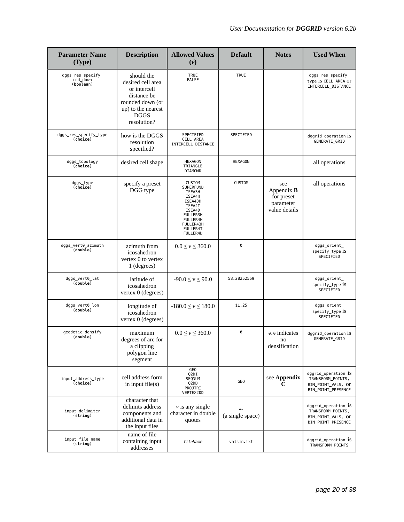| <b>Parameter Name</b><br>(Type)                | <b>Description</b>                                                                                                                     | <b>Allowed Values</b><br>$(\nu)$                                                                                                                  | <b>Default</b>                       | <b>Notes</b>                                                         | <b>Used When</b>                                                                     |
|------------------------------------------------|----------------------------------------------------------------------------------------------------------------------------------------|---------------------------------------------------------------------------------------------------------------------------------------------------|--------------------------------------|----------------------------------------------------------------------|--------------------------------------------------------------------------------------|
| dggs_res_specify_<br>rnd_down<br>(boolean)     | should the<br>desired cell area<br>or intercell<br>distance be<br>rounded down (or<br>up) to the nearest<br><b>DGGS</b><br>resolution? | <b>TRUE</b><br><b>FALSE</b>                                                                                                                       | <b>TRUE</b>                          |                                                                      | dggs_res_specify_<br>type is CELL_AREA Or<br>INTERCELL_DISTANCE                      |
| dggs_res_specify_type<br>(choice)              | how is the DGGS<br>resolution<br>specified?                                                                                            | SPECIFIED<br>CELL_AREA<br>INTERCELL_DISTANCE                                                                                                      | SPECIFIED                            |                                                                      | dggrid_operation is<br>GENERATE_GRID                                                 |
| dggs_topology<br>(choice)                      | desired cell shape                                                                                                                     | <b>HEXAGON</b><br>TRIANGLE<br>DIAMOND                                                                                                             | <b>HEXAGON</b>                       |                                                                      | all operations                                                                       |
| dggs_type<br>(choice)                          | specify a preset<br>DGG type                                                                                                           | <b>CUSTOM</b><br>SUPERFUND<br>ISEA3H<br>ISEA4H<br>ISEA43H<br>ISEA4T<br>ISEA4D<br>FULLER3H<br>FULLER4H<br>FULLER43H<br><b>FULLER4T</b><br>FULLER4D | <b>CUSTOM</b>                        | see<br>Appendix $\bf{B}$<br>for preset<br>parameter<br>value details | all operations                                                                       |
| dggs_vert0_azimuth<br>(double)                 | azimuth from<br>icosahedron<br>vertex 0 to vertex<br>1 (degrees)                                                                       | $0.0 \le v \le 360.0$                                                                                                                             | 0                                    |                                                                      | dggs_orient_<br>specify_type iS<br>SPECIFIED                                         |
| dggs_vert0_lat<br>(double)                     | latitude of<br>icosahedron<br>vertex 0 (degrees)                                                                                       | $-90.0 \le v \le 90.0$                                                                                                                            | 58.28252559                          |                                                                      | dggs_orient_<br>specify_type 1S<br>SPECIFIED                                         |
| dggs_vert0_lon<br>$(\overline{\text{double}})$ | longitude of<br>icosahedron<br>vertex 0 (degrees)                                                                                      | $-180.0 \le v \le 180.0$                                                                                                                          | 11.25                                |                                                                      | dggs_orient_<br>specify_type is<br>SPECIFIED                                         |
| geodetic_densify<br>(double)                   | maximum<br>degrees of arc for<br>a clipping<br>polygon line<br>segment                                                                 | $0.0 \le v \le 360.0$                                                                                                                             | 0                                    | 0.0 indicates<br>no<br>densification                                 | dggrid_operation is<br>GENERATE_GRID                                                 |
| input_address_type<br>(choice)                 | cell address form<br>in input $file(s)$                                                                                                | GE <sub>0</sub><br>Q2DI<br>SEQNUM<br>Q2DD<br>PROJTRI<br>VERTEX2DD                                                                                 | GE <sub>0</sub>                      | see Appendix<br>C                                                    | dggrid_operation 1S<br>TRANSFORM_POINTS,<br>BIN POINT VALS, OT<br>BIN_POINT_PRESENCE |
| input_delimiter<br>(string)                    | character that<br>delimits address<br>components and<br>additional data in<br>the input files                                          | $\nu$ is any single<br>character in double<br>quotes                                                                                              | $\boldsymbol{u}$<br>(a single space) |                                                                      | dggrid_operation iS<br>TRANSFORM_POINTS,<br>BIN_POINT_VALS, OT<br>BIN_POINT_PRESENCE |
| input_file_name<br>(string)                    | name of file<br>containing input<br>addresses                                                                                          | fileName                                                                                                                                          | valsin.txt                           |                                                                      | dggrid_operation 1S<br>TRANSFORM_POINTS                                              |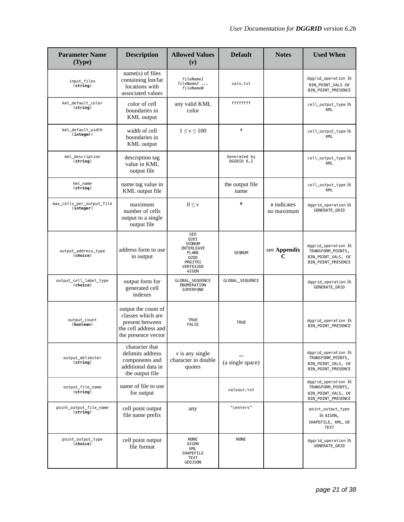| <b>Parameter Name</b><br>(Type)        | <b>Description</b>                                                                                         | <b>Allowed Values</b><br>$(\nu)$                                                                                                  | <b>Default</b>                    | <b>Notes</b>              | <b>Used When</b>                                                                     |
|----------------------------------------|------------------------------------------------------------------------------------------------------------|-----------------------------------------------------------------------------------------------------------------------------------|-----------------------------------|---------------------------|--------------------------------------------------------------------------------------|
| input_files<br>(string)                | $name(s)$ of files<br>containing lon/lat<br>locations with<br>associated values                            | fileName1<br>fileName2<br>fileNameN                                                                                               | vals.txt                          |                           | dggrid_operation iS<br>BIN_POINT_VALS_OT<br>BIN_POINT_PRESENCE                       |
| kml_default_color<br>(string)          | color of cell<br>boundaries in<br><b>KML</b> output                                                        | any valid KML<br>color                                                                                                            | ffffffff                          |                           | cell_output_type iS<br><b>KML</b>                                                    |
| kml_default_width<br>(integer)         | width of cell<br>boundaries in<br><b>KML</b> output                                                        | $1 \leq v \leq 100$                                                                                                               | $\overline{4}$                    |                           | cell_output_type iS<br>KML                                                           |
| kml_description<br>(string)            | description tag<br>value in KML<br>output file                                                             |                                                                                                                                   | Generated by<br>DGGRID 6.2        |                           | cell_output_type iS<br><b>KML</b>                                                    |
| kml_name<br>(string)                   | name tag value in<br>KML output file                                                                       |                                                                                                                                   | the output file<br>name           |                           | cell_output_type iS<br><b>KML</b>                                                    |
| max_cells_per_output_file<br>(integer) | maximum<br>number of cells<br>output to a single<br>output file                                            | $0 \leq \nu$                                                                                                                      | 0                                 | o indicates<br>no maximum | dggrid_operation iS<br><b>GENERATE GRID</b>                                          |
| output_address_type<br>(choice)        | address form to use<br>in output                                                                           | GE <sub>0</sub><br>Q2DI<br>SEQNUM<br>INTERLEAVE<br><b>PLANE</b><br>Q <sub>2</sub> D <sub>D</sub><br>PROJTRI<br>VERTEX2DD<br>AIGEN | SEQNUM                            | see Appendix<br>C         | dggrid_operation iS<br>TRANSFORM_POINTS,<br>BIN_POINT_VALS, OT<br>BIN_POINT_PRESENCE |
| output_cell_label_type<br>(choice)     | output form for<br>generated cell<br>indexes                                                               | GLOBAL_SEQUENCE<br>ENUMERATION<br>SUPERFUND                                                                                       | GLOBAL_SEQUENCE                   |                           | dggrid_operation iS<br>GENERATE_GRID                                                 |
| output_count<br>(boolean)              | output the count of<br>classes which are<br>present between<br>the cell address and<br>the presence vector | <b>TRUE</b><br><b>FALSE</b>                                                                                                       | <b>TRUE</b>                       |                           | dggrid_operation iS<br>BIN_POINT_PRESENCE                                            |
| output_delimiter<br>(string)           | character that<br>delimits address<br>components and<br>additional data in<br>the output file              | $\nu$ is any single<br>character in double<br>quotes                                                                              | $\frac{1}{2}$<br>(a single space) |                           | dggrid_operation iS<br>TRANSFORM_POINTS,<br>BIN_POINT_VALS, OT<br>BIN_POINT_PRESENCE |
| output_file_name<br>(string)           | name of file to use<br>for output                                                                          |                                                                                                                                   | valsout.txt                       |                           | dggrid_operation iS<br>TRANSFORM_POINTS,<br>BIN_POINT_VALS, Or<br>BIN_POINT_PRESENCE |
| point_output_file_name<br>(string)     | cell point output<br>file name prefix                                                                      | any                                                                                                                               | "centers"                         |                           | point_output_type<br>is AIGEN,<br>SHAPEFILE, KML, OT<br><b>TEXT</b>                  |
| point_output_type<br>(choice)          | cell point output<br>file format                                                                           | <b>NONE</b><br>AIGEN<br>KML<br>SHAPEFILE<br>TEXT<br><b>GEOJSON</b>                                                                | <b>NONE</b>                       |                           | dggrid_operation iS<br>GENERATE_GRID                                                 |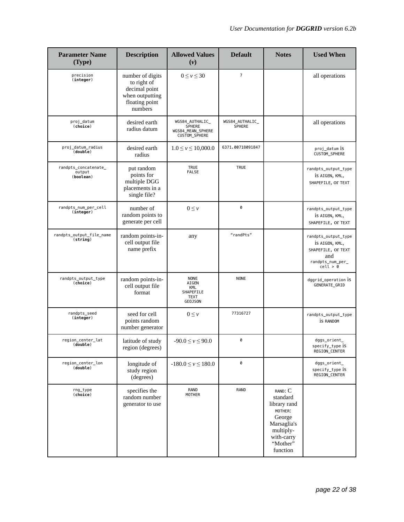| <b>Parameter Name</b><br>(Type)             | <b>Description</b>                                                                               | <b>Allowed Values</b><br>(v)                                           | <b>Default</b>                   | <b>Notes</b>                                                                                                               | <b>Used When</b>                                                                                     |
|---------------------------------------------|--------------------------------------------------------------------------------------------------|------------------------------------------------------------------------|----------------------------------|----------------------------------------------------------------------------------------------------------------------------|------------------------------------------------------------------------------------------------------|
| precision<br>(integer)                      | number of digits<br>to right of<br>decimal point<br>when outputting<br>floating point<br>numbers | $0 \leq v \leq 30$                                                     | $\overline{7}$                   |                                                                                                                            | all operations                                                                                       |
| proj_datum<br>(choice)                      | desired earth<br>radius datum                                                                    | WGS84_AUTHALIC_<br><b>SPHERE</b><br>WGS84_MEAN_SPHERE<br>CUSTOM_SPHERE | WGS84_AUTHALIC_<br><b>SPHERE</b> |                                                                                                                            | all operations                                                                                       |
| proj_datum_radius<br>(double)               | desired earth<br>radius                                                                          | $1.0 \le v \le 10,000.0$                                               | 6371.00718091847                 |                                                                                                                            | proj_datum iS<br>CUSTOM_SPHERE                                                                       |
| randpts_concatenate_<br>output<br>(boolean) | put random<br>points for<br>multiple DGG<br>placements in a<br>single file?                      | <b>TRUE</b><br><b>FALSE</b>                                            | <b>TRUE</b>                      |                                                                                                                            | randpts_output_type<br>IS AIGEN, KML,<br>SHAPEFILE, OT TEXT                                          |
| randpts_num_per_cell<br>(integer)           | number of<br>random points to<br>generate per cell                                               | $0 \leq \nu$                                                           | 0                                |                                                                                                                            | randpts_output_type<br>IS AIGEN, KML,<br>SHAPEFILE, OT TEXT                                          |
| randpts_output_file_name<br>(string)        | random points-in-<br>cell output file<br>name prefix                                             | any                                                                    | "randPts"                        |                                                                                                                            | randpts_output_type<br>IS AIGEN, KML,<br>SHAPEFILE, OT TEXT<br>and<br>$randpts_number{\_}recall > 0$ |
| randpts_output_type<br>(choice)             | random points-in-<br>cell output file<br>format                                                  | <b>NONE</b><br>AIGEN<br>KML<br>SHAPEFILE<br><b>TEXT</b><br>GEOJSON     | <b>NONE</b>                      |                                                                                                                            | dggrid_operation 1S<br>GENERATE_GRID                                                                 |
| randpts_seed<br>(integer)                   | seed for cell<br>points random<br>number generator                                               | $0 \leq \nu$                                                           | 77316727                         |                                                                                                                            | randpts_output_type<br><b>is RANDOM</b>                                                              |
| region center lat<br>(double)               | latitude of study<br>region (degrees)                                                            | $-90.0 \le v \le 90.0$                                                 | 0                                |                                                                                                                            | dggs_orient_<br>specify_type is<br>REGION_CENTER                                                     |
| region_center_lon<br>(double)               | longitude of<br>study region<br>(degrees)                                                        | $-180.0 \le v \le 180.0$                                               | 0                                |                                                                                                                            | dggs_orient_<br>specify_type is<br><b>REGION CENTER</b>                                              |
| rng_type<br>(choice)                        | specifies the<br>random number<br>generator to use                                               | RAND<br><b>MOTHER</b>                                                  | <b>RAND</b>                      | RAND: C<br>standard<br>library rand<br>MOTHER:<br>George<br>Marsaglia's<br>multiply-<br>with-carry<br>"Mother"<br>function |                                                                                                      |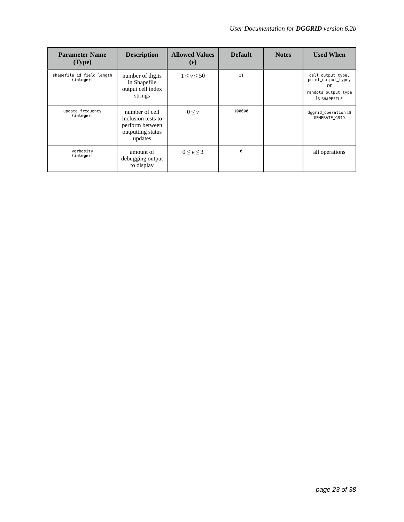| <b>Parameter Name</b><br>(Type)        | <b>Description</b>                                                                      | <b>Allowed Values</b><br>$(\nu)$ | <b>Default</b> | <b>Notes</b> | <b>Used When</b>                                                                            |
|----------------------------------------|-----------------------------------------------------------------------------------------|----------------------------------|----------------|--------------|---------------------------------------------------------------------------------------------|
| shapefile_id_field_length<br>(integer) | number of digits<br>in Shapefile<br>output cell index<br>strings                        | $1 \leq v \leq 50$               | 11             |              | cell_output_type,<br>point_output_type,<br>or<br>randpts_output_type<br><b>IS SHAPEFILE</b> |
| update_frequency<br>(integer)          | number of cell<br>inclusion tests to<br>perform between<br>outputting status<br>updates | $0 \leq \nu$                     | 100000         |              | dggrid_operation 1S<br><b>GENERATE GRID</b>                                                 |
| verbosity<br>(integer)                 | amount of<br>debugging output<br>to display                                             | $0 \leq v \leq 3$                | g              |              | all operations                                                                              |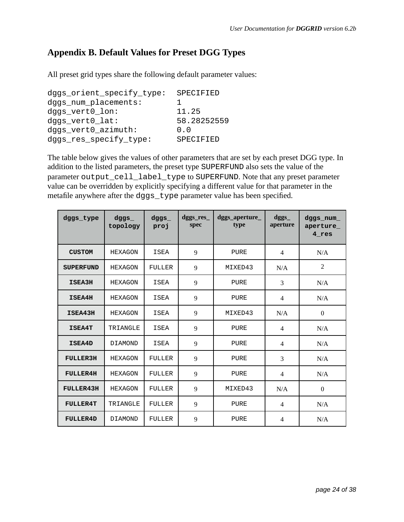# **Appendix B. Default Values for Preset DGG Types**

All preset grid types share the following default parameter values:

```
dggs_orient_specify_type: SPECIFIED
dggs_num_placements: 1 
dggs_vert0_lon: 11.25 
dggs_vert0_lat: 58.28252559 
dggs_vert0_azimuth: 0.0 
dggs_res_specify_type: SPECIFIED
```
The table below gives the values of other parameters that are set by each preset DGG type. In addition to the listed parameters, the preset type SUPERFUND also sets the value of the parameter output\_cell\_label\_type to SUPERFUND. Note that any preset parameter value can be overridden by explicitly specifying a different value for that parameter in the metafile anywhere after the dggs\_type parameter value has been specified.

| dggs_type        | $d$ ggs $\_$<br>topology | dggs<br>proj | $degs$ res<br>spec | dggs_aperture_<br>type | $\text{d} \text{g} \text{g} \text{s}$<br>aperture | dggs_num_<br>aperture<br>4 res |
|------------------|--------------------------|--------------|--------------------|------------------------|---------------------------------------------------|--------------------------------|
| <b>CUSTOM</b>    | HEXAGON                  | <b>ISEA</b>  | 9                  | PURE                   | $\overline{4}$                                    | N/A                            |
| <b>SUPERFUND</b> | HEXAGON                  | FULLER       | 9                  | MIXED43                | N/A                                               | $\overline{2}$                 |
| ISEA3H           | <b>HEXAGON</b>           | <b>ISEA</b>  | 9                  | PURE                   | 3                                                 | N/A                            |
| ISEA4H           | <b>HEXAGON</b>           | <b>ISEA</b>  | 9                  | PURE                   | $\overline{4}$                                    | N/A                            |
| ISEA43H          | <b>HEXAGON</b>           | <b>ISEA</b>  | 9                  | MIXED43                | N/A                                               | $\boldsymbol{0}$               |
| <b>ISEA4T</b>    | TRIANGLE                 | ISEA         | 9                  | PURE                   | $\overline{4}$                                    | N/A                            |
| ISEA4D           | DIAMOND                  | <b>ISEA</b>  | 9                  | PURE                   | 4                                                 | N/A                            |
| <b>FULLER3H</b>  | <b>HEXAGON</b>           | FULLER       | 9                  | PURE                   | 3                                                 | N/A                            |
| <b>FULLER4H</b>  | <b>HEXAGON</b>           | FULLER       | 9                  | PURE                   | 4                                                 | N/A                            |
| <b>FULLER43H</b> | <b>HEXAGON</b>           | FULLER       | 9                  | MIXED43                | N/A                                               | $\mathbf{0}$                   |
| <b>FULLER4T</b>  | TRIANGLE                 | FULLER       | 9                  | PURE                   | $\overline{4}$                                    | N/A                            |
| <b>FULLER4D</b>  | <b>DIAMOND</b>           | FULLER       | 9                  | PURE                   | 4                                                 | N/A                            |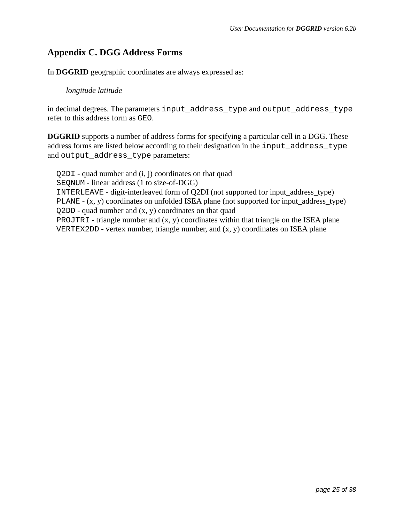# **Appendix C. DGG Address Forms**

In **DGGRID** geographic coordinates are always expressed as:

### *longitude latitude*

in decimal degrees. The parameters input\_address\_type and output\_address\_type refer to this address form as GEO.

**DGGRID** supports a number of address forms for specifying a particular cell in a DGG. These address forms are listed below according to their designation in the input\_address\_type and output\_address\_type parameters:

Q2DI - quad number and (i, j) coordinates on that quad SEQNUM - linear address (1 to size-of-DGG) INTERLEAVE - digit-interleaved form of Q2DI (not supported for input\_address\_type) PLANE - (x, y) coordinates on unfolded ISEA plane (not supported for input\_address\_type)  $Q2DD$  - quad number and  $(x, y)$  coordinates on that quad PROJTRI - triangle number and  $(x, y)$  coordinates within that triangle on the ISEA plane VERTEX2DD - vertex number, triangle number, and (x, y) coordinates on ISEA plane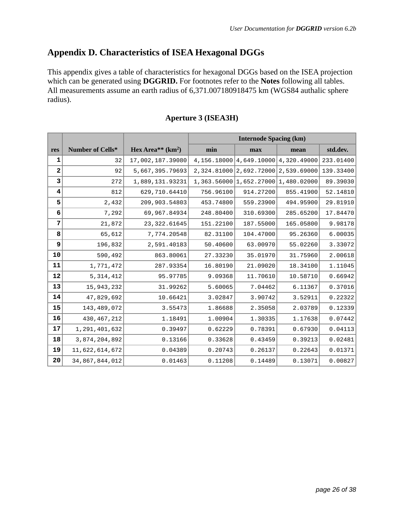# **Appendix D. Characteristics of ISEA Hexagonal DGGs**

This appendix gives a table of characteristics for hexagonal DGGs based on the ISEA projection which can be generated using **DGGRID.** For footnotes refer to the **Notes** following all tables. All measurements assume an earth radius of 6,371.007180918475 km (WGS84 authalic sphere radius).

|              |                  |                    | <b>Internode Spacing (km)</b> |                                     |             |           |  |  |
|--------------|------------------|--------------------|-------------------------------|-------------------------------------|-------------|-----------|--|--|
| res          | Number of Cells* | Hex Area** $(km2)$ | min                           | max                                 | mean        | std.dev.  |  |  |
| $\mathbf{1}$ | 32               | 17,002,187.39080   |                               | 4,156.18000 4,649.10000 4,320.49000 |             | 233.01400 |  |  |
| $\mathbf{2}$ | 92               | 5,667,395.79693    | 2,324.81000                   | 2,692.72000                         | 2,539.69000 | 139.33400 |  |  |
| 3            | 272              | 1,889,131.93231    |                               | 1,363.56000 1,652.27000 1,480.02000 |             | 89.39030  |  |  |
| 4            | 812              | 629,710.64410      | 756.96100                     | 914.27200                           | 855.41900   | 52.14810  |  |  |
| 5            | 2,432            | 209,903.54803      | 453.74800                     | 559.23900                           | 494.95900   | 29.81910  |  |  |
| 6            | 7,292            | 69,967.84934       | 248.80400                     | 310.69300                           | 285.65200   | 17.84470  |  |  |
| 7            | 21,872           | 23, 322.61645      | 151.22100                     | 187.55000                           | 165.05800   | 9.98178   |  |  |
| 8            | 65,612           | 7,774.20548        | 82.31100                      | 104.47000                           | 95.26360    | 6.00035   |  |  |
| 9            | 196,832          | 2,591.40183        | 50.40600                      | 63.00970                            | 55.02260    | 3.33072   |  |  |
| 10           | 590,492          | 863.80061          | 27.33230                      | 35.01970                            | 31.75960    | 2.00618   |  |  |
| 11           | 1,771,472        | 287.93354          | 16.80190                      | 21.09020                            | 18.34100    | 1.11045   |  |  |
| 12           | 5, 314, 412      | 95.97785           | 9.09368                       | 11.70610                            | 10.58710    | 0.66942   |  |  |
| 13           | 15,943,232       | 31.99262           | 5.60065                       | 7.04462                             | 6.11367     | 0.37016   |  |  |
| 14           | 47,829,692       | 10.66421           | 3.02847                       | 3.90742                             | 3.52911     | 0.22322   |  |  |
| 15           | 143,489,072      | 3.55473            | 1.86688                       | 2.35058                             | 2.03789     | 0.12339   |  |  |
| 16           | 430, 467, 212    | 1.18491            | 1.00904                       | 1.30335                             | 1.17638     | 0.07442   |  |  |
| 17           | 1,291,401,632    | 0.39497            | 0.62229                       | 0.78391                             | 0.67930     | 0.04113   |  |  |
| 18           | 3,874,204,892    | 0.13166            | 0.33628                       | 0.43459                             | 0.39213     | 0.02481   |  |  |
| 19           | 11,622,614,672   | 0.04389            | 0.20743                       | 0.26137                             | 0.22643     | 0.01371   |  |  |
| 20           | 34,867,844,012   | 0.01463            | 0.11208                       | 0.14489                             | 0.13071     | 0.00827   |  |  |

### **Aperture 3 (ISEA3H)**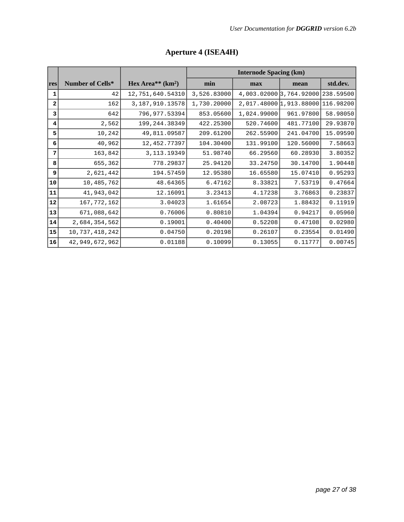|              |                         |                    | <b>Internode Spacing (km)</b> |                         |           |           |  |  |
|--------------|-------------------------|--------------------|-------------------------------|-------------------------|-----------|-----------|--|--|
| res          | <b>Number of Cells*</b> | Hex Area** $(km2)$ | min                           | max                     | mean      | std.dev.  |  |  |
| ı            | 42                      | 12,751,640.54310   | 3,526.83000                   | 4,003.02000 3,764.92000 |           | 238.59500 |  |  |
| $\mathbf{2}$ | 162                     | 3, 187, 910. 13578 | 1,730.20000                   | 2,017.48000 1,913.88000 |           | 116.98200 |  |  |
| 3            | 642                     | 796,977.53394      | 853.05600                     | 1,024.99000             | 961.97800 | 58.98050  |  |  |
| 4            | 2,562                   | 199, 244.38349     | 422.25300                     | 520.74600               | 481.77100 | 29.93870  |  |  |
| 5            | 10,242                  | 49,811.09587       | 209.61200                     | 262.55900               | 241.04700 | 15.09590  |  |  |
| 6            | 40,962                  | 12,452.77397       | 104.30400                     | 131.99100               | 120.56000 | 7.58663   |  |  |
| 7            | 163,842                 | 3, 113. 19349      | 51.98740                      | 66.29560                | 60.28930  | 3.80352   |  |  |
| 8            | 655,362                 | 778.29837          | 25.94120                      | 33.24750                | 30.14700  | 1.90448   |  |  |
| 9            | 2,621,442               | 194.57459          | 12.95380                      | 16.65580                | 15.07410  | 0.95293   |  |  |
| 10           | 10,485,762              | 48.64365           | 6.47162                       | 8.33821                 | 7.53719   | 0.47664   |  |  |
| 11           | 41,943,042              | 12.16091           | 3.23413                       | 4.17238                 | 3.76863   | 0.23837   |  |  |
| 12           | 167, 772, 162           | 3.04023            | 1.61654                       | 2.08723                 | 1.88432   | 0.11919   |  |  |
| 13           | 671,088,642             | 0.76006            | 0.80810                       | 1.04394                 | 0.94217   | 0.05960   |  |  |
| 14           | 2,684,354,562           | 0.19001            | 0.40400                       | 0.52208                 | 0.47108   | 0.02980   |  |  |
| 15           | 10,737,418,242          | 0.04750            | 0.20198                       | 0.26107                 | 0.23554   | 0.01490   |  |  |
| 16           | 42,949,672,962          | 0.01188            | 0.10099                       | 0.13055                 | 0.11777   | 0.00745   |  |  |

# **Aperture 4 (ISEA4H)**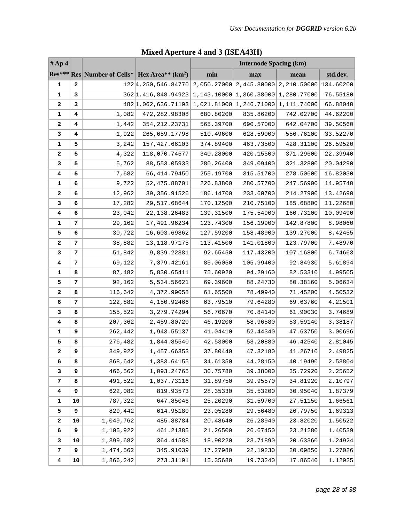| #Ap4                    |    |           |                                                             | <b>Internode Spacing (km)</b> |                                                     |           |          |  |
|-------------------------|----|-----------|-------------------------------------------------------------|-------------------------------|-----------------------------------------------------|-----------|----------|--|
|                         |    |           | Res*** Res Number of Cells*   Hex Area** (km <sup>2</sup> ) | min                           | max                                                 | mean      | std.dev. |  |
| 1                       | 2  |           | 1224, 250, 546.84770                                        |                               | $2,050.27000$ $2,445.80000$ $2,210.50000$ 134.60200 |           |          |  |
| 1                       | 3  |           | 362 1, 416, 848. 94923                                      |                               | $1, 143.10000   1, 360.38000   1, 280.77000$        |           | 76.55180 |  |
| 2                       | 3  |           | 4821,062,636.71193                                          |                               | 1,021.81000 1,246.71000 1,111.74000                 |           | 66.88040 |  |
| 1                       | 4  | 1,082     | 472,282.98308                                               | 680.80200                     | 835.86200                                           | 742.02700 | 44.62200 |  |
| 2                       | 4  | 1,442     | 354, 212. 23731                                             | 565.39700                     | 690.57000                                           | 642.04700 | 39.50560 |  |
| 3                       | 4  | 1,922     | 265,659.17798                                               | 510.49600                     | 628.59000                                           | 556.76100 | 33.52270 |  |
| 1                       | 5  | 3,242     | 157, 427.66103                                              | 374.89400                     | 463.73500                                           | 428.31100 | 26.59520 |  |
| 2                       | 5  | 4,322     | 118,070.74577                                               | 340.28000                     | 420.15500                                           | 371.29600 | 22.39940 |  |
| 3                       | 5  | 5,762     | 88,553.05933                                                | 280.26400                     | 349.09400                                           | 321.32800 | 20.04290 |  |
| 4                       | 5  | 7,682     | 66, 414.79450                                               | 255.19700                     | 315.51700                                           | 278.50600 | 16.82030 |  |
| 1                       | 6  | 9,722     | 52,475.88701                                                | 226.83800                     | 280.57700                                           | 247.56900 | 14.95740 |  |
| 2                       | 6  | 12,962    | 39, 356.91526                                               | 186.14700                     | 233.60700                                           | 214.27900 | 13.42690 |  |
| 3                       | 6  | 17,282    | 29,517.68644                                                | 170.12500                     | 210.75100                                           | 185.68800 | 11.22680 |  |
| 4                       | 6  | 23,042    | 22, 138. 26483                                              | 139.31500                     | 175.54900                                           | 160.73100 | 10.09490 |  |
| 1                       | 7  | 29,162    | 17,491.96234                                                | 123.74300                     | 156.19900                                           | 142.87800 | 8.98060  |  |
| 5                       | 6  | 30,722    | 16,603.69862                                                | 127.59200                     | 158.48900                                           | 139.27000 | 8.42455  |  |
| 2                       | 7  | 38,882    | 13, 118.97175                                               | 113.41500                     | 141.01800                                           | 123.79700 | 7.48970  |  |
| 3                       | 7  | 51,842    | 9,839.22881                                                 | 92.65450                      | 117.43200                                           | 107.16800 | 6.74663  |  |
| 4                       | 7  | 69,122    | 7,379.42161                                                 | 85.06050                      | 105.99400                                           | 92.84930  | 5.61894  |  |
| 1                       | 8  | 87,482    | 5,830.65411                                                 | 75.60920                      | 94.29160                                            | 82.53310  | 4.99505  |  |
| 5                       | 7  | 92,162    | 5,534.56621                                                 | 69.39600                      | 88.24730                                            | 80.38160  | 5.06634  |  |
| 2                       | 8  | 116,642   | 4,372.99058                                                 | 61.65500                      | 78.49940                                            | 71.45200  | 4.50532  |  |
| 6                       | 7  | 122,882   | 4,150.92466                                                 | 63.79510                      | 79.64280                                            | 69.63760  | 4.21501  |  |
| 3                       | 8  | 155,522   | 3, 279. 74294                                               | 56.70670                      | 70.84140                                            | 61.90030  | 3.74689  |  |
| 4                       | 8  | 207,362   | 2,459.80720                                                 | 46.19200                      | 58.96580                                            | 53.59140  | 3.38187  |  |
| 1                       | 9  | 262,442   | 1,943.55137                                                 | 41.04410                      | 52.44340                                            | 47.63750  | 3.00696  |  |
| 5                       | 8  | 276,482   | 1,844.85540                                                 | 42.53000                      | 53.20880                                            | 46.42540  | 2.81045  |  |
| 2                       | 9  | 349,922   | 1,457.66353                                                 | 37.80440                      | 47.32180                                            | 41.26710  | 2.49825  |  |
| 6                       | 8  | 368,642   | 1,383.64155                                                 | 34.61350                      | 44.28150                                            | 40.19490  | 2.53804  |  |
| 3                       | 9  | 466,562   | 1,093.24765                                                 | 30.75780                      | 39.38000                                            | 35.72920  | 2.25652  |  |
| 7                       | 8  | 491,522   | 1,037.73116                                                 | 31.89750                      | 39.95570                                            | 34.81920  | 2.10797  |  |
| $\overline{\mathbf{4}}$ | 9  | 622,082   | 819.93573                                                   | 28.35330                      | 35.53200                                            | 30.95040  | 1.87379  |  |
| 1                       | 10 | 787,322   | 647.85046                                                   | 25.20290                      | 31.59700                                            | 27.51150  | 1.66561  |  |
| 5                       | 9  | 829,442   | 614.95180                                                   | 23.05280                      | 29.56480                                            | 26.79750  | 1.69313  |  |
| 2                       | 10 | 1,049,762 | 485.88784                                                   | 20.48640                      | 26.28940                                            | 23.82020  | 1.50522  |  |
| 6                       | 9  | 1,105,922 | 461.21385                                                   | 21.26500                      | 26.67450                                            | 23.21280  | 1.40539  |  |
| 3                       | 10 | 1,399,682 | 364.41588                                                   | 18.90220                      | 23.71890                                            | 20.63360  | 1.24924  |  |
| 7                       | 9  | 1,474,562 | 345.91039                                                   | 17.27980                      | 22.19230                                            | 20.09850  | 1.27026  |  |
| 4                       | 10 | 1,866,242 | 273.31191                                                   | 15.35680                      | 19.73240                                            | 17.86540  | 1.12925  |  |

# **Mixed Aperture 4 and 3 (ISEA43H)**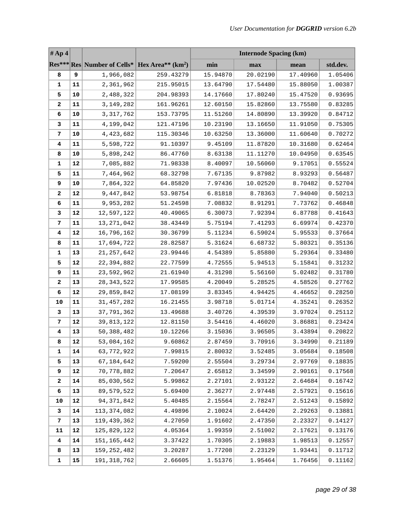| #Ap4                    |           |                                                             |           | <b>Internode Spacing (km)</b> |          |          |          |
|-------------------------|-----------|-------------------------------------------------------------|-----------|-------------------------------|----------|----------|----------|
|                         |           | Res*** Res Number of Cells*   Hex Area** (km <sup>2</sup> ) |           | min                           | max      | mean     | std.dev. |
| 8                       | 9         | 1,966,082                                                   | 259.43279 | 15.94870                      | 20.02190 | 17.40960 | 1.05406  |
| 1                       | 11        | 2,361,962                                                   | 215.95015 | 13.64790                      | 17.54480 | 15.88050 | 1.00387  |
| 5                       | 10        | 2,488,322                                                   | 204.98393 | 14.17660                      | 17.80240 | 15.47520 | 0.93695  |
| 2                       | 11        | 3, 149, 282                                                 | 161.96261 | 12.60150                      | 15.82860 | 13.75580 | 0.83285  |
| 6                       | 10        | 3, 317, 762                                                 | 153.73795 | 11.51260                      | 14.80890 | 13.39920 | 0.84712  |
| 3                       | 11        | 4,199,042                                                   | 121.47196 | 10.23190                      | 13.16650 | 11.91050 | 0.75305  |
| 7                       | 10        | 4,423,682                                                   | 115.30346 | 10.63250                      | 13.36000 | 11.60640 | 0.70272  |
| 4                       | 11        | 5,598,722                                                   | 91.10397  | 9.45109                       | 11.87820 | 10.31680 | 0.62464  |
| 8                       | 10        | 5,898,242                                                   | 86.47760  | 8.63138                       | 11.11270 | 10.04950 | 0.63545  |
| 1                       | 12        | 7,085,882                                                   | 71.98338  | 8.40097                       | 10.56060 | 9.17051  | 0.55524  |
| 5                       | 11        | 7,464,962                                                   | 68.32798  | 7.67135                       | 9.87982  | 8.93293  | 0.56487  |
| 9                       | 10        | 7,864,322                                                   | 64.85820  | 7.97436                       | 10.02520 | 8.70482  | 0.52704  |
| $\mathbf{2}$            | 12        | 9,447,842                                                   | 53.98754  | 6.81818                       | 8.78363  | 7.94040  | 0.50213  |
| 6                       | 11        | 9,953,282                                                   | 51.24598  | 7.08832                       | 8.91291  | 7.73762  | 0.46848  |
| 3                       | 12        | 12,597,122                                                  | 40.49065  | 6.30073                       | 7.92394  | 6.87788  | 0.41643  |
| 7                       | 11        | 13, 271, 042                                                | 38.43449  | 5.75194                       | 7.41293  | 6.69974  | 0.42370  |
| 4                       | 12        | 16,796,162                                                  | 30.36799  | 5.11234                       | 6.59024  | 5.95533  | 0.37664  |
| 8                       | 11        | 17,694,722                                                  | 28.82587  | 5.31624                       | 6.68732  | 5.80321  | 0.35136  |
| 1                       | 13        | 21, 257, 642                                                | 23.99446  | 4.54389                       | 5.85880  | 5.29364  | 0.33480  |
| 5                       | 12        | 22,394,882                                                  | 22.77599  | 4.72555                       | 5.94513  | 5.15841  | 0.31232  |
| 9                       | 11        | 23,592,962                                                  | 21.61940  | 4.31298                       | 5.56160  | 5.02482  | 0.31780  |
| $\mathbf{2}$            | 13        | 28, 343, 522                                                | 17.99585  | 4.20049                       | 5.28525  | 4.58526  | 0.27762  |
| 6                       | 12        | 29,859,842                                                  | 17.08199  | 3.83345                       | 4.94425  | 4.46652  | 0.28250  |
| 10                      | 11        | 31, 457, 282                                                | 16.21455  | 3.98718                       | 5.01714  | 4.35241  | 0.26352  |
| 3                       | 13        | 37,791,362                                                  | 13.49688  | 3.40726                       | 4.39539  | 3.97024  | 0.25112  |
| 7                       | $12\,$    | 39,813,122                                                  | 12.81150  | 3.54416                       | 4.46020  | 3.86881  | 0.23424  |
| 4                       | 13        | 50, 388, 482                                                | 10.12266  | 3.15036                       | 3.96505  | 3.43894  | 0.20822  |
| 8                       | $\bf{12}$ | 53,084,162                                                  | 9.60862   | 2.87459                       | 3.70916  | 3.34990  | 0.21189  |
| 1                       | 14        | 63,772,922                                                  | 7.99815   | 2.80032                       | 3.52485  | 3.05684  | 0.18508  |
| 5                       | 13        | 67, 184, 642                                                | 7.59200   | 2.55504                       | 3.29734  | 2.97769  | 0.18835  |
| 9                       | 12        | 70,778,882                                                  | 7.20647   | 2.65812                       | 3.34599  | 2.90161  | 0.17568  |
| 2                       | 14        | 85,030,562                                                  | 5.99862   | 2.27101                       | 2.93122  | 2.64684  | 0.16742  |
| 6                       | 13        | 89,579,522                                                  | 5.69400   | 2.36277                       | 2.97448  | 2.57921  | 0.15616  |
| 10                      | 12        | 94, 371, 842                                                | 5.40485   | 2.15564                       | 2.78247  | 2.51243  | 0.15892  |
| 3                       | 14        | 113, 374, 082                                               | 4.49896   | 2.10024                       | 2.64420  | 2.29263  | 0.13881  |
| 7                       | 13        | 119, 439, 362                                               | 4.27050   | 1.91602                       | 2.47350  | 2.23327  | 0.14127  |
| 11                      | 12        | 125,829,122                                                 | 4.05364   | 1.99359                       | 2.51002  | 2.17621  | 0.13176  |
| $\overline{\mathbf{4}}$ | 14        | 151, 165, 442                                               | 3.37422   | 1.70305                       | 2.19883  | 1.98513  | 0.12557  |
| 8                       | 13        | 159, 252, 482                                               | 3.20287   | 1.77208                       | 2.23129  | 1.93441  | 0.11712  |
| 1                       | 15        | 191, 318, 762                                               | 2.66605   | 1.51376                       | 1.95464  | 1.76456  | 0.11162  |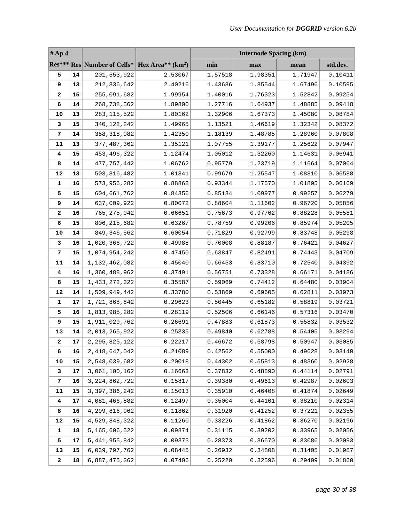| #Ap4         |    |                  |                                                             | <b>Internode Spacing (km)</b> |         |         |          |
|--------------|----|------------------|-------------------------------------------------------------|-------------------------------|---------|---------|----------|
|              |    |                  | Res*** Res Number of Cells*   Hex Area** (km <sup>2</sup> ) | min                           | max     | mean    | std.dev. |
| 5            | 14 | 201,553,922      | 2.53067                                                     | 1.57518                       | 1.98351 | 1.71947 | 0.10411  |
| 9            | 13 | 212,336,642      | 2.40216                                                     | 1.43686                       | 1.85544 | 1.67496 | 0.10595  |
| 2            | 15 | 255,091,682      | 1.99954                                                     | 1.40016                       | 1.76323 | 1.52842 | 0.09254  |
| 6            | 14 | 268,738,562      | 1.89800                                                     | 1.27716                       | 1.64937 | 1.48885 | 0.09418  |
| 10           | 13 | 283, 115, 522    | 1.80162                                                     | 1.32906                       | 1.67373 | 1.45080 | 0.08784  |
| 3            | 15 | 340, 122, 242    | 1.49965                                                     | 1.13521                       | 1.46619 | 1.32342 | 0.08372  |
| 7            | 14 | 358, 318, 082    | 1.42350                                                     | 1.18139                       | 1.48785 | 1.28960 | 0.07808  |
| 11           | 13 | 377, 487, 362    | 1.35121                                                     | 1.07755                       | 1.39177 | 1.25622 | 0.07947  |
| 4            | 15 | 453, 496, 322    | 1.12474                                                     | 1.05012                       | 1.32260 | 1.14631 | 0.06941  |
| 8            | 14 | 477, 757, 442    | 1.06762                                                     | 0.95779                       | 1.23719 | 1.11664 | 0.07064  |
| 12           | 13 | 503, 316, 482    | 1.01341                                                     | 0.99679                       | 1.25547 | 1.08810 | 0.06588  |
| 1            | 16 | 573,956,282      | 0.88868                                                     | 0.93344                       | 1.17570 | 1.01895 | 0.06169  |
| 5            | 15 | 604,661,762      | 0.84356                                                     | 0.85134                       | 1.09977 | 0.99257 | 0.06279  |
| 9            | 14 | 637,009,922      | 0.80072                                                     | 0.88604                       | 1.11602 | 0.96720 | 0.05856  |
| 2            | 16 | 765, 275, 042    | 0.66651                                                     | 0.75673                       | 0.97762 | 0.88228 | 0.05581  |
| 6            | 15 | 806, 215, 682    | 0.63267                                                     | 0.78759                       | 0.99206 | 0.85974 | 0.05205  |
| 10           | 14 | 849, 346, 562    | 0.60054                                                     | 0.71829                       | 0.92799 | 0.83748 | 0.05298  |
| 3            | 16 | 1,020,366,722    | 0.49988                                                     | 0.70008                       | 0.88187 | 0.76421 | 0.04627  |
| 7            | 15 | 1,074,954,242    | 0.47450                                                     | 0.63847                       | 0.82491 | 0.74443 | 0.04709  |
| 11           | 14 | 1,132,462,082    | 0.45040                                                     | 0.66453                       | 0.83710 | 0.72540 | 0.04392  |
| 4            | 16 | 1,360,488,962    | 0.37491                                                     | 0.56751                       | 0.73328 | 0.66171 | 0.04186  |
| 8            | 15 | 1,433,272,322    | 0.35587                                                     | 0.59069                       | 0.74412 | 0.64480 | 0.03904  |
| 12           | 14 | 1,509,949,442    | 0.33780                                                     | 0.53869                       | 0.69605 | 0.62811 | 0.03973  |
| 1            | 17 | 1,721,868,842    | 0.29623                                                     | 0.50445                       | 0.65182 | 0.58819 | 0.03721  |
| 5            | 16 | 1,813,985,282    | 0.28119                                                     | 0.52506                       | 0.66146 | 0.57316 | 0.03470  |
| 9            | 15 | 1,911,029,762    | 0.26691                                                     | 0.47883                       | 0.61873 | 0.55832 | 0.03532  |
| 13           | 14 | 2,013,265,922    | 0.25335                                                     | 0.49840                       | 0.62788 | 0.54405 | 0.03294  |
| $\mathbf{2}$ | 17 | 2, 295, 825, 122 | 0.22217                                                     | 0.46672                       | 0.58798 | 0.50947 | 0.03085  |
| 6            | 16 | 2,418,647,042    | 0.21089                                                     | 0.42562                       | 0.55000 | 0.49628 | 0.03140  |
| 10           | 15 | 2,548,039,682    | 0.20018                                                     | 0.44302                       | 0.55813 | 0.48360 | 0.02928  |
| 3            | 17 | 3,061,100,162    | 0.16663                                                     | 0.37832                       | 0.48890 | 0.44114 | 0.02791  |
| 7            | 16 | 3, 224, 862, 722 | 0.15817                                                     | 0.39380                       | 0.49613 | 0.42987 | 0.02603  |
| 11           | 15 | 3, 397, 386, 242 | 0.15013                                                     | 0.35910                       | 0.46408 | 0.41874 | 0.02649  |
| 4            | 17 | 4,081,466,882    | 0.12497                                                     | 0.35004                       | 0.44101 | 0.38210 | 0.02314  |
| 8            | 16 | 4,299,816,962    | 0.11862                                                     | 0.31920                       | 0.41252 | 0.37221 | 0.02355  |
| 12           | 15 | 4,529,848,322    | 0.11260                                                     | 0.33226                       | 0.41862 | 0.36270 | 0.02196  |
| 1            | 18 | 5,165,606,522    | 0.09874                                                     | 0.31115                       | 0.39202 | 0.33965 | 0.02056  |
| 5            | 17 | 5, 441, 955, 842 | 0.09373                                                     | 0.28373                       | 0.36670 | 0.33086 | 0.02093  |
| 13           | 15 | 6,039,797,762    | 0.08445                                                     | 0.26932                       | 0.34808 | 0.31405 | 0.01987  |
| $\mathbf{2}$ | 18 | 6,887,475,362    | 0.07406                                                     | 0.25220                       | 0.32596 | 0.29409 | 0.01860  |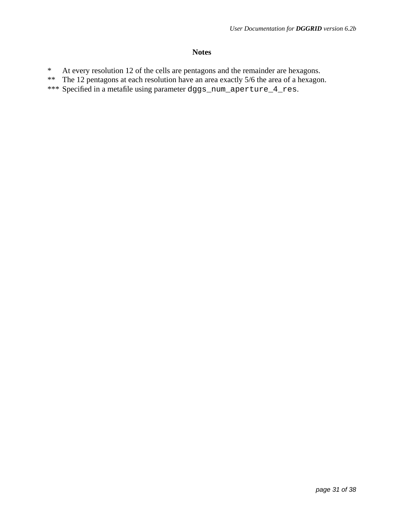### **Notes**

- \* At every resolution 12 of the cells are pentagons and the remainder are hexagons.
- \*\* The 12 pentagons at each resolution have an area exactly 5/6 the area of a hexagon.
- \*\*\* Specified in a metafile using parameter dggs\_num\_aperture\_4\_res.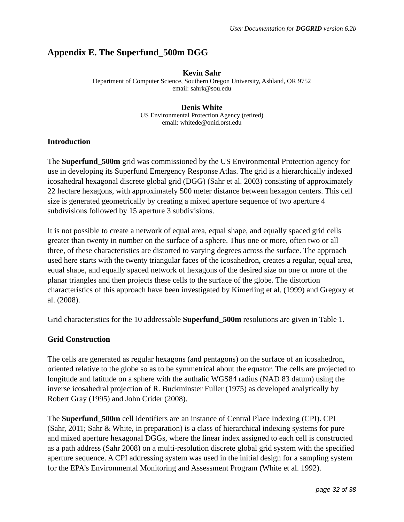# **Appendix E. The Superfund\_500m DGG**

#### **Kevin Sahr**

Department of Computer Science, Southern Oregon University, Ashland, OR 9752 email: sahrk@sou.edu

#### **Denis White**

US Environmental Protection Agency (retired) email: whitede@onid.orst.edu

### **Introduction**

The **Superfund 500m** grid was commissioned by the US Environmental Protection agency for use in developing its Superfund Emergency Response Atlas. The grid is a hierarchically indexed icosahedral hexagonal discrete global grid (DGG) (Sahr et al. 2003) consisting of approximately 22 hectare hexagons, with approximately 500 meter distance between hexagon centers. This cell size is generated geometrically by creating a mixed aperture sequence of two aperture 4 subdivisions followed by 15 aperture 3 subdivisions.

It is not possible to create a network of equal area, equal shape, and equally spaced grid cells greater than twenty in number on the surface of a sphere. Thus one or more, often two or all three, of these characteristics are distorted to varying degrees across the surface. The approach used here starts with the twenty triangular faces of the icosahedron, creates a regular, equal area, equal shape, and equally spaced network of hexagons of the desired size on one or more of the planar triangles and then projects these cells to the surface of the globe. The distortion characteristics of this approach have been investigated by Kimerling et al. (1999) and Gregory et al. (2008).

Grid characteristics for the 10 addressable **Superfund\_500m** resolutions are given in Table 1.

### **Grid Construction**

The cells are generated as regular hexagons (and pentagons) on the surface of an icosahedron, oriented relative to the globe so as to be symmetrical about the equator. The cells are projected to longitude and latitude on a sphere with the authalic WGS84 radius (NAD 83 datum) using the inverse icosahedral projection of R. Buckminster Fuller (1975) as developed analytically by Robert Gray (1995) and John Crider (2008).

The **Superfund\_500m** cell identifiers are an instance of Central Place Indexing (CPI). CPI (Sahr, 2011; Sahr & White, in preparation) is a class of hierarchical indexing systems for pure and mixed aperture hexagonal DGGs, where the linear index assigned to each cell is constructed as a path address (Sahr 2008) on a multi-resolution discrete global grid system with the specified aperture sequence. A CPI addressing system was used in the initial design for a sampling system for the EPA's Environmental Monitoring and Assessment Program (White et al. 1992).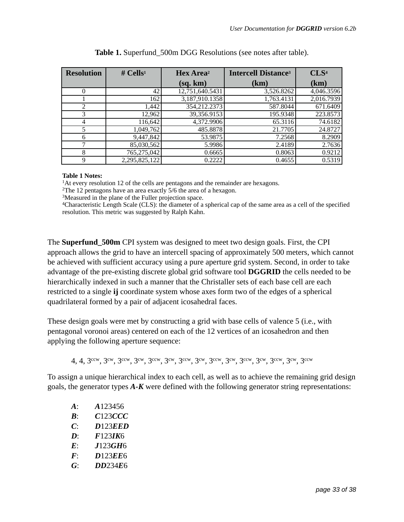| <b>Resolution</b> | # Cells <sup>1</sup> | Hex Area <sup>2</sup> | <b>Intercell Distance<sup>3</sup></b> | CLS <sup>4</sup> |
|-------------------|----------------------|-----------------------|---------------------------------------|------------------|
|                   |                      | (sq, km)              | (km)                                  | (km)             |
| $\Omega$          | 42                   | 12,751,640.5431       | 3,526.8262                            | 4,046.3596       |
|                   | 162                  | 3,187,910.1358        | 1,763.4131                            | 2,016.7939       |
| 2                 | 1,442                | 354,212.2373          | 587.8044                              | 671.6409         |
| 3                 | 12,962               | 39,356.9153           | 195.9348                              | 223.8573         |
| 4                 | 116,642              | 4,372.9906            | 65.3116                               | 74.6182          |
| 5                 | 1,049,762            | 485.8878              | 21.7705                               | 24.8727          |
| 6                 | 9,447,842            | 53.9875               | 7.2568                                | 8.2909           |
|                   | 85,030,562           | 5.9986                | 2.4189                                | 2.7636           |
| 8                 | 765,275,042          | 0.6665                | 0.8063                                | 0.9212           |
| 9                 | 2,295,825,122        | 0.2222                | 0.4655                                | 0.5319           |

| Table 1. Superfund_500m DGG Resolutions (see notes after table). |  |
|------------------------------------------------------------------|--|
|------------------------------------------------------------------|--|

#### **Table 1 Notes:**

<sup>1</sup>At every resolution 12 of the cells are pentagons and the remainder are hexagons.

2The 12 pentagons have an area exactly 5/6 the area of a hexagon.

3Measured in the plane of the Fuller projection space.

4Characteristic Length Scale (CLS): the diameter of a spherical cap of the same area as a cell of the specified resolution. This metric was suggested by Ralph Kahn.

The **Superfund\_500m** CPI system was designed to meet two design goals. First, the CPI approach allows the grid to have an intercell spacing of approximately 500 meters, which cannot be achieved with sufficient accuracy using a pure aperture grid system. Second, in order to take advantage of the pre-existing discrete global grid software tool **DGGRID** the cells needed to be hierarchically indexed in such a manner that the Christaller sets of each base cell are each restricted to a single **ij** coordinate system whose axes form two of the edges of a spherical quadrilateral formed by a pair of adjacent icosahedral faces.

These design goals were met by constructing a grid with base cells of valence 5 (i.e., with pentagonal voronoi areas) centered on each of the 12 vertices of an icosahedron and then applying the following aperture sequence:

4, 4, 3ccw, 3cw, 3ccw, 3cw, 3ccw, 3cw, 3ccw, 3cw, 3ccw, 3cw, 3ccw, 3cw, 3ccw, 3cw, 3ccw

To assign a unique hierarchical index to each cell, as well as to achieve the remaining grid design goals, the generator types *A-K* were defined with the following generator string representations:

| $\mathbf{A}$ :                | A123456 |
|-------------------------------|---------|
| $\bm{B}$                      | C123CCC |
| C:                            | D123EED |
| $\mathbf{D}^{\mathbf{\cdot}}$ | F123IK6 |
| $\bm{E}$                      | J123GH6 |
| $\bm{F}$                      | D123EE6 |
| G                             | DD234E6 |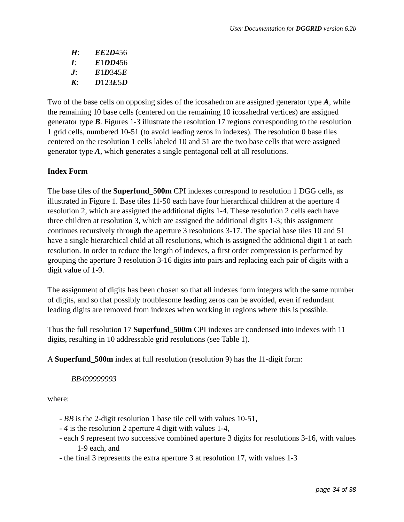| $H^.$        | <i>EE2D456</i> |
|--------------|----------------|
| Ŀ            | E1DD456        |
| $J^{\cdot}$  | E1D345E        |
| $\mathbf{K}$ | D123E5D        |

Two of the base cells on opposing sides of the icosahedron are assigned generator type *A*, while the remaining 10 base cells (centered on the remaining 10 icosahedral vertices) are assigned generator type *B*. Figures 1-3 illustrate the resolution 17 regions corresponding to the resolution 1 grid cells, numbered 10-51 (to avoid leading zeros in indexes). The resolution 0 base tiles centered on the resolution 1 cells labeled 10 and 51 are the two base cells that were assigned generator type *A*, which generates a single pentagonal cell at all resolutions.

### **Index Form**

The base tiles of the **Superfund\_500m** CPI indexes correspond to resolution 1 DGG cells, as illustrated in Figure 1. Base tiles 11-50 each have four hierarchical children at the aperture 4 resolution 2, which are assigned the additional digits 1-4. These resolution 2 cells each have three children at resolution 3, which are assigned the additional digits 1-3; this assignment continues recursively through the aperture 3 resolutions 3-17. The special base tiles 10 and 51 have a single hierarchical child at all resolutions, which is assigned the additional digit 1 at each resolution. In order to reduce the length of indexes, a first order compression is performed by grouping the aperture 3 resolution 3-16 digits into pairs and replacing each pair of digits with a digit value of 1-9.

The assignment of digits has been chosen so that all indexes form integers with the same number of digits, and so that possibly troublesome leading zeros can be avoided, even if redundant leading digits are removed from indexes when working in regions where this is possible.

Thus the full resolution 17 **Superfund\_500m** CPI indexes are condensed into indexes with 11 digits, resulting in 10 addressable grid resolutions (see Table 1).

A **Superfund\_500m** index at full resolution (resolution 9) has the 11-digit form:

### *BB499999993*

where:

- *BB* is the 2-digit resolution 1 base tile cell with values 10-51,
- *4* is the resolution 2 aperture 4 digit with values 1-4,
- each *9* represent two successive combined aperture 3 digits for resolutions 3-16, with values 1-9 each, and
- the final 3 represents the extra aperture 3 at resolution 17, with values 1-3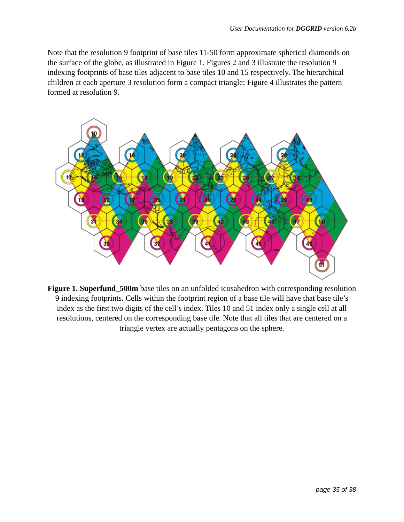Note that the resolution 9 footprint of base tiles 11-50 form approximate spherical diamonds on the surface of the globe, as illustrated in Figure 1. Figures 2 and 3 illustrate the resolution 9 indexing footprints of base tiles adjacent to base tiles 10 and 15 respectively. The hierarchical children at each aperture 3 resolution form a compact triangle; Figure 4 illustrates the pattern formed at resolution 9.



**Figure 1. Superfund\_500m** base tiles on an unfolded icosahedron with corresponding resolution 9 indexing footprints. Cells within the footprint region of a base tile will have that base tile's index as the first two digits of the cell's index. Tiles 10 and 51 index only a single cell at all resolutions, centered on the corresponding base tile. Note that all tiles that are centered on a triangle vertex are actually pentagons on the sphere.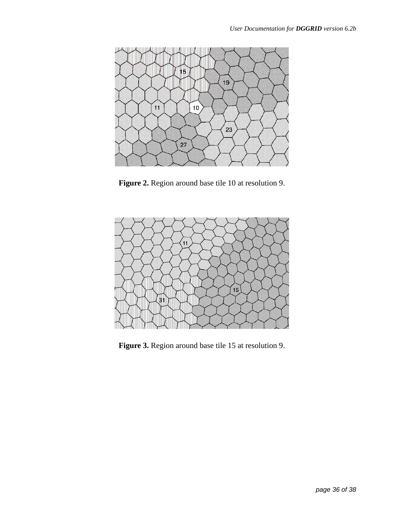

**Figure 2.** Region around base tile 10 at resolution 9.



**Figure 3.** Region around base tile 15 at resolution 9.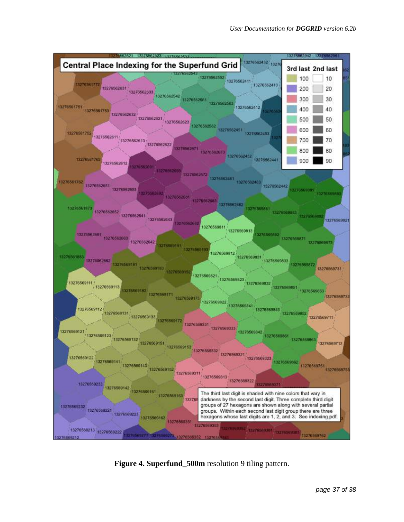

**Figure 4. Superfund\_500m** resolution 9 tiling pattern.